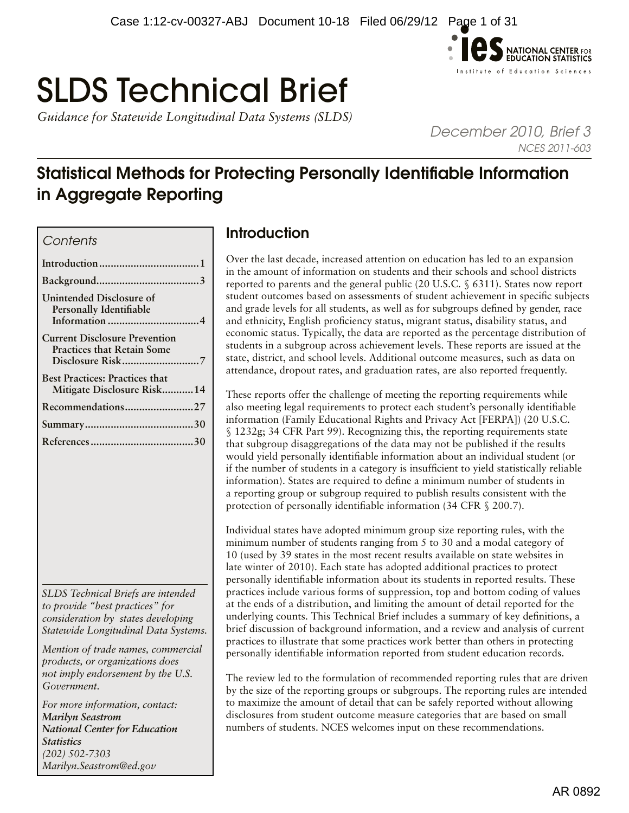

# SLDS Technical Brief

*Guidance for Statewide Longitudinal Data Systems (SLDS)* 

*December 2010, Brief 3 NCES 2011-603*

# Statistical Methods for Protecting Personally Identifiable Information in Aggregate Reporting

#### *Contents*

| <b>Unintended Disclosure of</b><br><b>Personally Identifiable</b>         |
|---------------------------------------------------------------------------|
| <b>Current Disclosure Prevention</b><br><b>Practices that Retain Some</b> |
| <b>Best Practices: Practices that</b><br>Mitigate Disclosure Risk14       |
| Recommendations27                                                         |
|                                                                           |
|                                                                           |

*SLDS Technical Briefs are intended to provide "best practices" for consideration by states developing Statewide Longitudinal Data Systems.* 

*Mention of trade names, commercial products, or organizations does not imply endorsement by the U.S. Government.*

*For more information, contact: Marilyn Seastrom National Center for Education Statistics (202) 502-7303 [Marilyn.Seastrom@ed.gov](mailto:Marilyn.Seastrom%40ed.gov?subject=)*

# Introduction

Over the last decade, increased attention on education has led to an expansion in the amount of information on students and their schools and school districts reported to parents and the general public (20 U.S.C. § 6311). States now report student outcomes based on assessments of student achievement in specific subjects and grade levels for all students, as well as for subgroups defined by gender, race and ethnicity, English proficiency status, migrant status, disability status, and economic status. Typically, the data are reported as the percentage distribution of students in a subgroup across achievement levels. These reports are issued at the state, district, and school levels. Additional outcome measures, such as data on attendance, dropout rates, and graduation rates, are also reported frequently.

These reports offer the challenge of meeting the reporting requirements while also meeting legal requirements to protect each student's personally identifiable information (Family Educational Rights and Privacy Act [FERPA]) (20 U.S.C. § 1232g; 34 CFR Part 99). Recognizing this, the reporting requirements state that subgroup disaggregations of the data may not be published if the results would yield personally identifiable information about an individual student (or if the number of students in a category is insufficient to yield statistically reliable information). States are required to define a minimum number of students in a reporting group or subgroup required to publish results consistent with the protection of personally identifiable information (34 CFR § 200.7).

Individual states have adopted minimum group size reporting rules, with the minimum number of students ranging from 5 to 30 and a modal category of 10 (used by 39 states in the most recent results available on state websites in late winter of 2010). Each state has adopted additional practices to protect personally identifiable information about its students in reported results. These practices include various forms of suppression, top and bottom coding of values at the ends of a distribution, and limiting the amount of detail reported for the underlying counts. This Technical Brief includes a summary of key definitions, a brief discussion of background information, and a review and analysis of current practices to illustrate that some practices work better than others in protecting personally identifiable information reported from student education records.

The review led to the formulation of recommended reporting rules that are driven by the size of the reporting groups or subgroups. The reporting rules are intended to maximize the amount of detail that can be safely reported without allowing disclosures from student outcome measure categories that are based on small numbers of students. NCES welcomes input on these recommendations.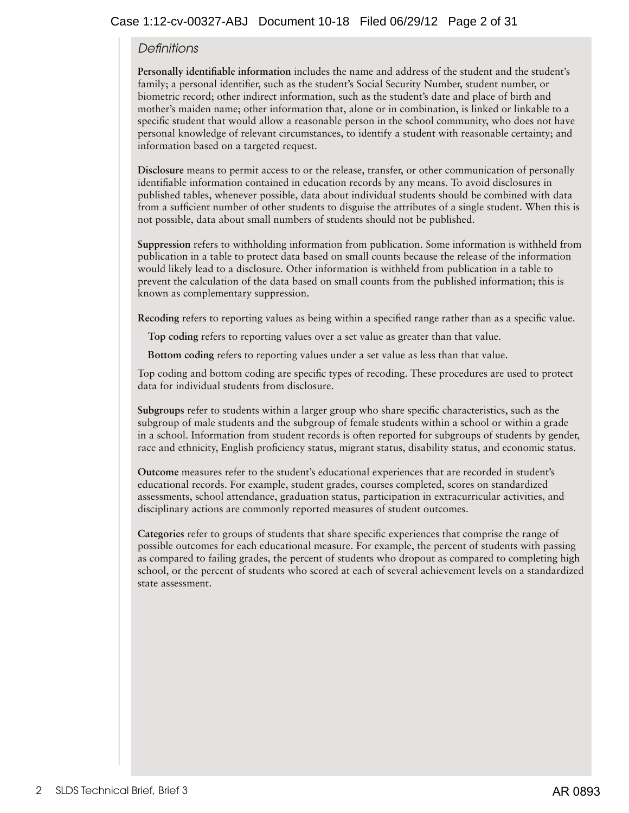#### *Definitions*

**Personally identifiable information** includes the name and address of the student and the student's family; a personal identifier, such as the student's Social Security Number, student number, or biometric record; other indirect information, such as the student's date and place of birth and mother's maiden name; other information that, alone or in combination, is linked or linkable to a specific student that would allow a reasonable person in the school community, who does not have personal knowledge of relevant circumstances, to identify a student with reasonable certainty; and information based on a targeted request.

**Disclosure** means to permit access to or the release, transfer, or other communication of personally identifiable information contained in education records by any means. To avoid disclosures in published tables, whenever possible, data about individual students should be combined with data from a sufficient number of other students to disguise the attributes of a single student. When this is not possible, data about small numbers of students should not be published.

**Suppression** refers to withholding information from publication. Some information is withheld from publication in a table to protect data based on small counts because the release of the information would likely lead to a disclosure. Other information is withheld from publication in a table to prevent the calculation of the data based on small counts from the published information; this is known as complementary suppression.

**Recoding** refers to reporting values as being within a specified range rather than as a specific value.

**Top coding** refers to reporting values over a set value as greater than that value.

**Bottom coding** refers to reporting values under a set value as less than that value.

Top coding and bottom coding are specific types of recoding. These procedures are used to protect data for individual students from disclosure.

**Subgroups** refer to students within a larger group who share specific characteristics, such as the subgroup of male students and the subgroup of female students within a school or within a grade in a school. Information from student records is often reported for subgroups of students by gender, race and ethnicity, English proficiency status, migrant status, disability status, and economic status.

**Outcome** measures refer to the student's educational experiences that are recorded in student's educational records. For example, student grades, courses completed, scores on standardized assessments, school attendance, graduation status, participation in extracurricular activities, and disciplinary actions are commonly reported measures of student outcomes.

**Categories** refer to groups of students that share specific experiences that comprise the range of possible outcomes for each educational measure. For example, the percent of students with passing as compared to failing grades, the percent of students who dropout as compared to completing high school, or the percent of students who scored at each of several achievement levels on a standardized state assessment.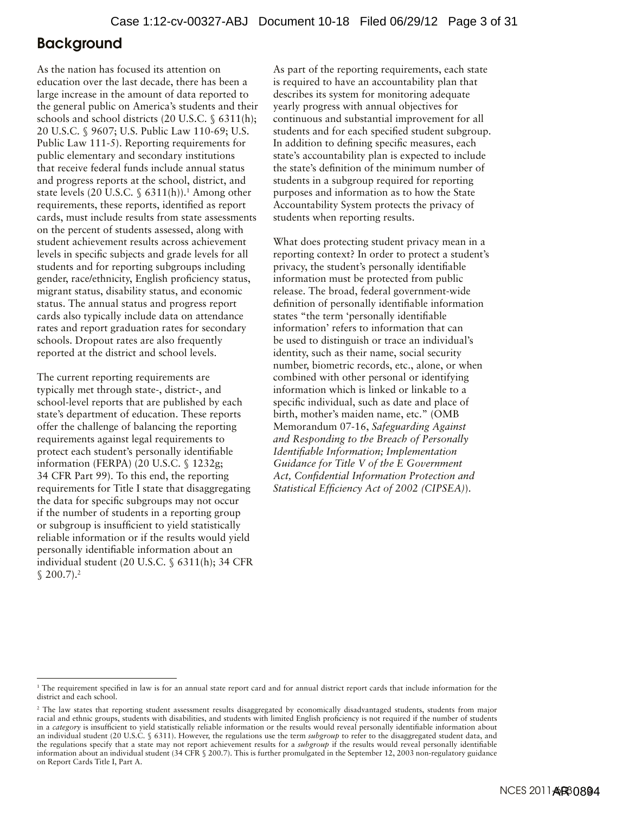# <span id="page-2-0"></span>Background

As the nation has focused its attention on education over the last decade, there has been a large increase in the amount of data reported to the general public on America's students and their schools and school districts (20 U.S.C. § 6311(h); 20 U.S.C. § 9607; U.S. Public Law 110-69; U.S. Public Law 111-5). Reporting requirements for public elementary and secondary institutions that receive federal funds include annual status and progress reports at the school, district, and state levels (20 U.S.C.  $\S$  6311(h)).<sup>1</sup> Among other requirements, these reports, identified as report cards, must include results from state assessments on the percent of students assessed, along with student achievement results across achievement levels in specific subjects and grade levels for all students and for reporting subgroups including gender, race/ethnicity, English proficiency status, migrant status, disability status, and economic status. The annual status and progress report cards also typically include data on attendance rates and report graduation rates for secondary schools. Dropout rates are also frequently reported at the district and school levels.

The current reporting requirements are typically met through state-, district-, and school-level reports that are published by each state's department of education. These reports offer the challenge of balancing the reporting requirements against legal requirements to protect each student's personally identifiable information (FERPA) (20 U.S.C. § 1232g; 34 CFR Part 99). To this end, the reporting requirements for Title I state that disaggregating the data for specific subgroups may not occur if the number of students in a reporting group or subgroup is insufficient to yield statistically reliable information or if the results would yield personally identifiable information about an individual student (20 U.S.C. § 6311(h); 34 CFR  $$200.7$ ).<sup>2</sup>

As part of the reporting requirements, each state is required to have an accountability plan that describes its system for monitoring adequate yearly progress with annual objectives for continuous and substantial improvement for all students and for each specified student subgroup. In addition to defining specific measures, each state's accountability plan is expected to include the state's definition of the minimum number of students in a subgroup required for reporting purposes and information as to how the State Accountability System protects the privacy of students when reporting results.

What does protecting student privacy mean in a reporting context? In order to protect a student's privacy, the student's personally identifiable information must be protected from public release. The broad, federal government-wide definition of personally identifiable information states "the term 'personally identifiable information' refers to information that can be used to distinguish or trace an individual's identity, such as their name, social security number, biometric records, etc., alone, or when combined with other personal or identifying information which is linked or linkable to a specific individual, such as date and place of birth, mother's maiden name, etc." (OMB Memorandum 07-16, *Safeguarding Against and Responding to the Breach of Personally Identifiable Information; Implementation Guidance for Title V of the E Government Act, Confidential Information Protection and Statistical Efficiency Act of 2002 (CIPSEA)*).

<sup>1</sup> The requirement specified in law is for an annual state report card and for annual district report cards that include information for the district and each school.

<sup>&</sup>lt;sup>2</sup> The law states that reporting student assessment results disaggregated by economically disadvantaged students, students from major racial and ethnic groups, students with disabilities, and students with limited English proficiency is not required if the number of students in a *category* is insufficient to yield statistically reliable information or the results would reveal personally identifiable information about an individual student (20 U.S.C. § 6311). However, the regulations use the term *subgroup* to refer to the disaggregated student data, and the regulations specify that a state may not report achievement results for a *subgroup* if the results would reveal personally identifiable information about an individual student (34 CFR § 200.7). This is further promulgated in the September 12, 2003 non-regulatory guidance on Report Cards Title I, Part A.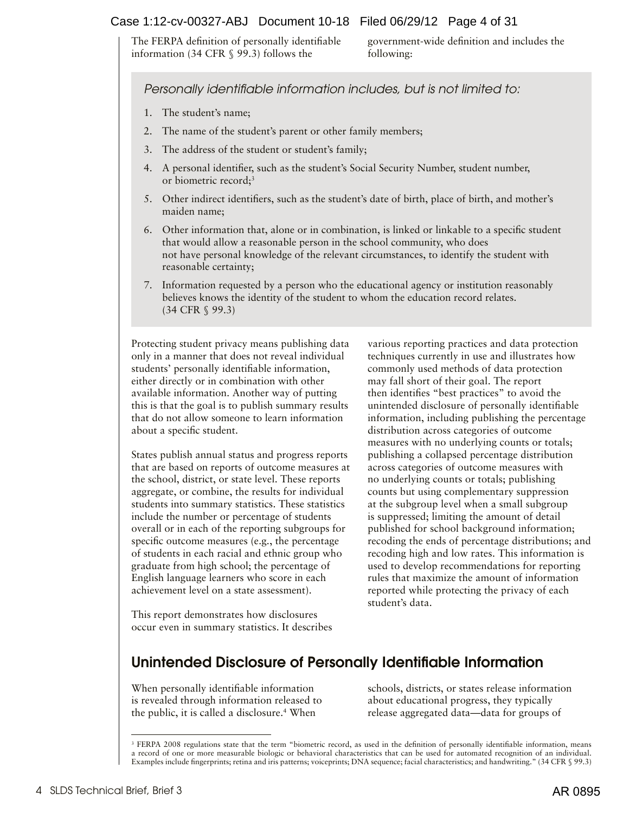#### <span id="page-3-0"></span>Case 1:12-cv-00327-ABJ Document 10-18 Filed 06/29/12 Page 4 of 31

The FERPA definition of personally identifiable information (34 CFR § 99.3) follows the

government-wide definition and includes the following:

*Personally identifiable information includes, but is not limited to:* 

- 1. The student's name;
- 2. The name of the student's parent or other family members;
- 3. The address of the student or student's family;
- 4. A personal identifier, such as the student's Social Security Number, student number, or biometric record;<sup>3</sup>
- 5. Other indirect identifiers, such as the student's date of birth, place of birth, and mother's maiden name;
- 6. Other information that, alone or in combination, is linked or linkable to a specific student that would allow a reasonable person in the school community, who does not have personal knowledge of the relevant circumstances, to identify the student with reasonable certainty;
- 7. Information requested by a person who the educational agency or institution reasonably believes knows the identity of the student to whom the education record relates. (34 CFR § 99.3)

Protecting student privacy means publishing data only in a manner that does not reveal individual students' personally identifiable information, either directly or in combination with other available information. Another way of putting this is that the goal is to publish summary results that do not allow someone to learn information about a specific student.

States publish annual status and progress reports that are based on reports of outcome measures at the school, district, or state level. These reports aggregate, or combine, the results for individual students into summary statistics. These statistics include the number or percentage of students overall or in each of the reporting subgroups for specific outcome measures (e.g., the percentage of students in each racial and ethnic group who graduate from high school; the percentage of English language learners who score in each achievement level on a state assessment).

This report demonstrates how disclosures occur even in summary statistics. It describes various reporting practices and data protection techniques currently in use and illustrates how commonly used methods of data protection may fall short of their goal. The report then identifies "best practices" to avoid the unintended disclosure of personally identifiable information, including publishing the percentage distribution across categories of outcome measures with no underlying counts or totals; publishing a collapsed percentage distribution across categories of outcome measures with no underlying counts or totals; publishing counts but using complementary suppression at the subgroup level when a small subgroup is suppressed; limiting the amount of detail published for school background information; recoding the ends of percentage distributions; and recoding high and low rates. This information is used to develop recommendations for reporting rules that maximize the amount of information reported while protecting the privacy of each student's data.

# Unintended Disclosure of Personally Identifiable Information

When personally identifiable information is revealed through information released to the public, it is called a disclosure.<sup>4</sup> When

schools, districts, or states release information about educational progress, they typically release aggregated data—data for groups of

<sup>&</sup>lt;sup>3</sup> FERPA 2008 regulations state that the term "biometric record, as used in the definition of personally identifiable information, means a record of one or more measurable biologic or behavioral characteristics that can be used for automated recognition of an individual. Examples include fingerprints; retina and iris patterns; voiceprints; DNA sequence; facial characteristics; and handwriting." (34 CFR § 99.3)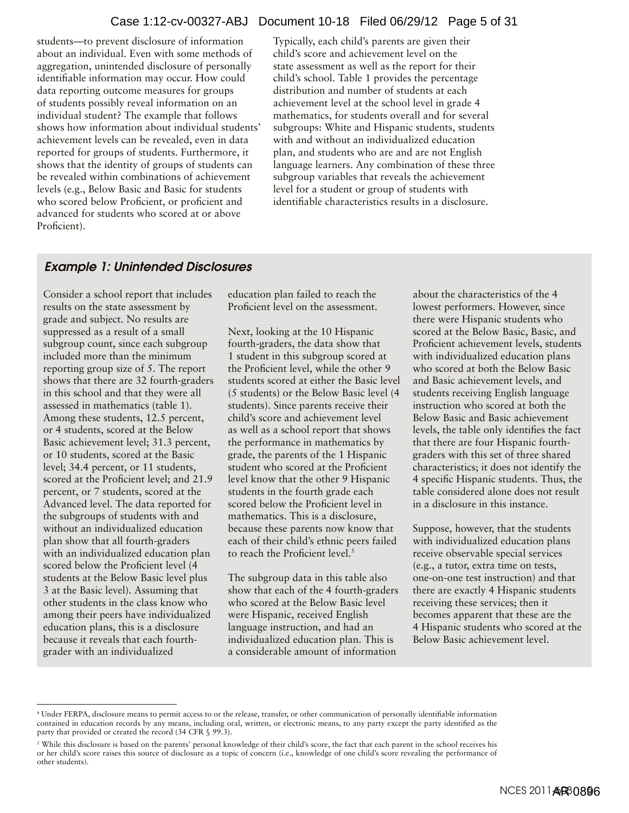students—to prevent disclosure of information about an individual. Even with some methods of aggregation, unintended disclosure of personally identifiable information may occur. How could data reporting outcome measures for groups of students possibly reveal information on an individual student? The example that follows shows how information about individual students' achievement levels can be revealed, even in data reported for groups of students. Furthermore, it shows that the identity of groups of students can be revealed within combinations of achievement levels (e.g., Below Basic and Basic for students who scored below Proficient, or proficient and advanced for students who scored at or above Proficient).

Typically, each child's parents are given their child's score and achievement level on the state assessment as well as the report for their child's school. Table 1 provides the percentage distribution and number of students at each achievement level at the school level in grade 4 mathematics, for students overall and for several subgroups: White and Hispanic students, students with and without an individualized education plan, and students who are and are not English language learners. Any combination of these three subgroup variables that reveals the achievement level for a student or group of students with identifiable characteristics results in a disclosure.

# Example 1: Unintended Disclosures

Consider a school report that includes results on the state assessment by grade and subject. No results are suppressed as a result of a small subgroup count, since each subgroup included more than the minimum reporting group size of 5. The report shows that there are 32 fourth-graders in this school and that they were all assessed in mathematics (table 1). Among these students, 12.5 percent, or 4 students, scored at the Below Basic achievement level; 31.3 percent, or 10 students, scored at the Basic level; 34.4 percent, or 11 students, scored at the Proficient level; and 21.9 percent, or 7 students, scored at the Advanced level. The data reported for the subgroups of students with and without an individualized education plan show that all fourth-graders with an individualized education plan scored below the Proficient level (4 students at the Below Basic level plus 3 at the Basic level). Assuming that other students in the class know who among their peers have individualized education plans, this is a disclosure because it reveals that each fourthgrader with an individualized

education plan failed to reach the Proficient level on the assessment.

Next, looking at the 10 Hispanic fourth-graders, the data show that 1 student in this subgroup scored at the Proficient level, while the other 9 students scored at either the Basic level (5 students) or the Below Basic level (4 students). Since parents receive their child's score and achievement level as well as a school report that shows the performance in mathematics by grade, the parents of the 1 Hispanic student who scored at the Proficient level know that the other 9 Hispanic students in the fourth grade each scored below the Proficient level in mathematics. This is a disclosure, because these parents now know that each of their child's ethnic peers failed to reach the Proficient level.<sup>5</sup>

The subgroup data in this table also show that each of the 4 fourth-graders who scored at the Below Basic level were Hispanic, received English language instruction, and had an individualized education plan. This is a considerable amount of information

about the characteristics of the 4 lowest performers. However, since there were Hispanic students who scored at the Below Basic, Basic, and Proficient achievement levels, students with individualized education plans who scored at both the Below Basic and Basic achievement levels, and students receiving English language instruction who scored at both the Below Basic and Basic achievement levels, the table only identifies the fact that there are four Hispanic fourthgraders with this set of three shared characteristics; it does not identify the 4 specific Hispanic students. Thus, the table considered alone does not result in a disclosure in this instance.

Suppose, however, that the students with individualized education plans receive observable special services (e.g., a tutor, extra time on tests, one-on-one test instruction) and that there are exactly 4 Hispanic students receiving these services; then it becomes apparent that these are the 4 Hispanic students who scored at the Below Basic achievement level.

<sup>4</sup> Under FERPA, disclosure means to permit access to or the release, transfer, or other communication of personally identifiable information contained in education records by any means, including oral, written, or electronic means, to any party except the party identified as the party that provided or created the record (34 CFR § 99.3).

<sup>5</sup> While this disclosure is based on the parents' personal knowledge of their child's score, the fact that each parent in the school receives his or her child's score raises this source of disclosure as a topic of concern (i.e., knowledge of one child's score revealing the performance of other students).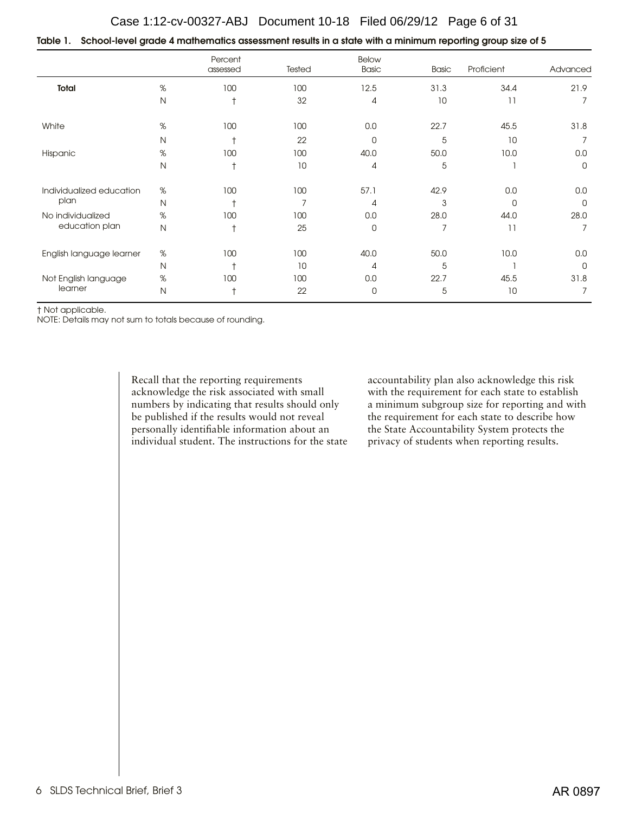| Table 1.    School-level grade 4 mathematics assessment results in a state with a minimum reporting group size of 5 |  |  |  |
|---------------------------------------------------------------------------------------------------------------------|--|--|--|
|                                                                                                                     |  |  |  |

|                          |              | Percent<br>assessed | Tested | <b>Below</b><br><b>Basic</b> | <b>Basic</b> | Proficient | Advanced    |
|--------------------------|--------------|---------------------|--------|------------------------------|--------------|------------|-------------|
| Total                    | %            | 100                 | 100    | 12.5                         | 31.3         | 34.4       | 21.9        |
|                          | $\mathsf{N}$ | $\dagger$           | 32     | $\overline{4}$               | 10           | 11         | 7           |
| White                    | $\%$         | 100                 | 100    | $0.0\,$                      | 22.7         | 45.5       | 31.8        |
|                          | N            | t                   | 22     | 0                            | 5            | 10         |             |
| Hispanic                 | $\%$         | 100                 | 100    | 40.0                         | 50.0         | 10.0       | 0.0         |
|                          | $\mathsf{N}$ | $\dagger$           | 10     | $\overline{4}$               | 5            |            | 0           |
| Individualized education | $\%$         | 100                 | 100    | 57.1                         | 42.9         | 0.0        | 0.0         |
| plan                     | $\mathsf{N}$ |                     | 7      | $\overline{A}$               | 3            | 0          | 0           |
| No individualized        | %            | 100                 | 100    | 0.0                          | 28.0         | 44.0       | 28.0        |
| education plan           | $\mathsf{N}$ | $\dagger$           | 25     | 0                            | 7            | 11         | 7           |
| English language learner | %            | 100                 | 100    | 40.0                         | 50.0         | 10.0       | 0.0         |
|                          | $\mathsf{N}$ | $\ddot{}$           | 10     | $\overline{A}$               | 5            |            | $\mathbf 0$ |
| Not English language     | %            | 100                 | 100    | 0.0                          | 22.7         | 45.5       | 31.8        |
| learner                  | $\mathsf{N}$ |                     | 22     | 0                            | 5            | 10         | 7           |

† Not applicable.

NOTE: Details may not sum to totals because of rounding.

Recall that the reporting requirements acknowledge the risk associated with small numbers by indicating that results should only be published if the results would not reveal personally identifiable information about an individual student. The instructions for the state accountability plan also acknowledge this risk with the requirement for each state to establish a minimum subgroup size for reporting and with the requirement for each state to describe how the State Accountability System protects the privacy of students when reporting results.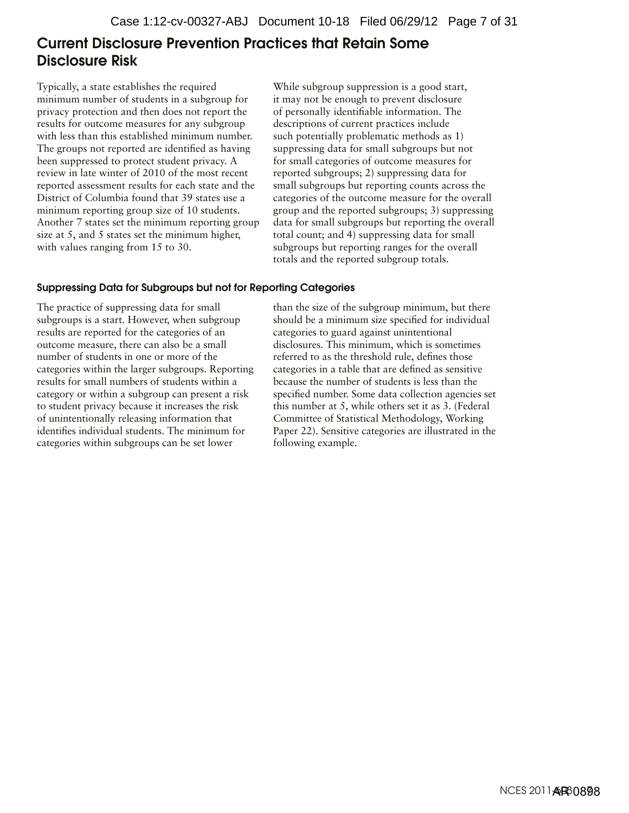# <span id="page-6-0"></span>Current Disclosure Prevention Practices that Retain Some Disclosure Risk

Typically, a state establishes the required minimum number of students in a subgroup for privacy protection and then does not report the results for outcome measures for any subgroup with less than this established minimum number. The groups not reported are identified as having been suppressed to protect student privacy. A review in late winter of 2010 of the most recent reported assessment results for each state and the District of Columbia found that 39 states use a minimum reporting group size of 10 students. Another 7 states set the minimum reporting group size at 5, and 5 states set the minimum higher, with values ranging from 15 to 30.

While subgroup suppression is a good start, it may not be enough to prevent disclosure of personally identifiable information. The descriptions of current practices include such potentially problematic methods as 1) suppressing data for small subgroups but not for small categories of outcome measures for reported subgroups; 2) suppressing data for small subgroups but reporting counts across the categories of the outcome measure for the overall group and the reported subgroups; 3) suppressing data for small subgroups but reporting the overall total count; and 4) suppressing data for small subgroups but reporting ranges for the overall totals and the reported subgroup totals.

#### Suppressing Data for Subgroups but not for Reporting Categories

The practice of suppressing data for small subgroups is a start. However, when subgroup results are reported for the categories of an outcome measure, there can also be a small number of students in one or more of the categories within the larger subgroups. Reporting results for small numbers of students within a category or within a subgroup can present a risk to student privacy because it increases the risk of unintentionally releasing information that identifies individual students. The minimum for categories within subgroups can be set lower

than the size of the subgroup minimum, but there should be a minimum size specified for individual categories to guard against unintentional disclosures. This minimum, which is sometimes referred to as the threshold rule, defines those categories in a table that are defined as sensitive because the number of students is less than the specified number. Some data collection agencies set this number at 5, while others set it as 3. (Federal Committee of Statistical Methodology, Working Paper 22). Sensitive categories are illustrated in the following example.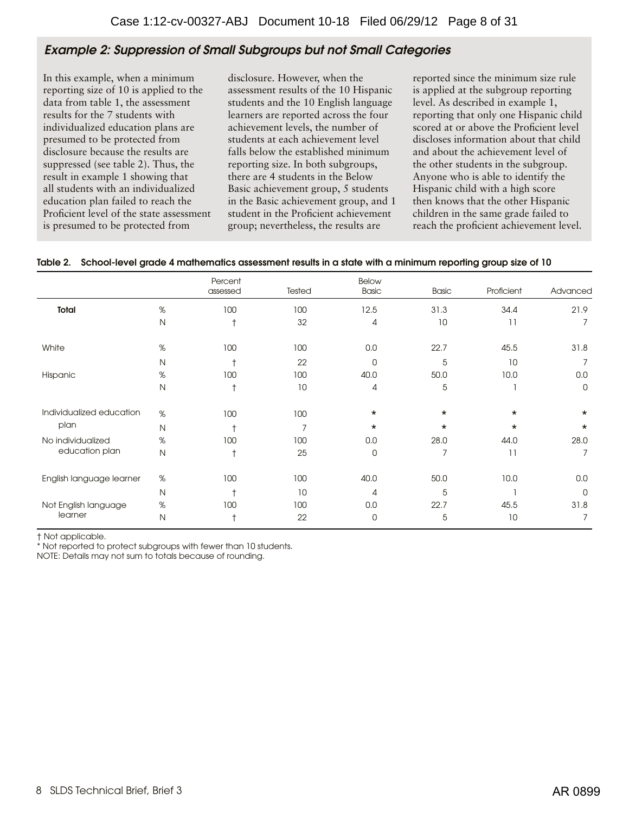## Example 2: Suppression of Small Subgroups but not Small Categories

In this example, when a minimum reporting size of 10 is applied to the data from table 1, the assessment results for the 7 students with individualized education plans are presumed to be protected from disclosure because the results are suppressed (see table 2). Thus, the result in example 1 showing that all students with an individualized education plan failed to reach the Proficient level of the state assessment is presumed to be protected from

disclosure. However, when the assessment results of the 10 Hispanic students and the 10 English language learners are reported across the four achievement levels, the number of students at each achievement level falls below the established minimum reporting size. In both subgroups, there are 4 students in the Below Basic achievement group, 5 students in the Basic achievement group, and 1 student in the Proficient achievement group; nevertheless, the results are

reported since the minimum size rule is applied at the subgroup reporting level. As described in example 1, reporting that only one Hispanic child scored at or above the Proficient level discloses information about that child and about the achievement level of the other students in the subgroup. Anyone who is able to identify the Hispanic child with a high score then knows that the other Hispanic children in the same grade failed to reach the proficient achievement level.

|                          |              | Percent<br>assessed | Tested | <b>Below</b><br><b>Basic</b> | <b>Basic</b> | Proficient | Advanced    |
|--------------------------|--------------|---------------------|--------|------------------------------|--------------|------------|-------------|
| Total                    | $\%$         | 100                 | 100    | 12.5                         | 31.3         | 34.4       | 21.9        |
|                          | N            | $\ddagger$          | 32     | 4                            | 10           | 11         |             |
| White                    | %            | 100                 | 100    | 0.0                          | 22.7         | 45.5       | 31.8        |
|                          | N            | $\ddot{}$           | 22     | $\mathbf 0$                  | 5            | 10         |             |
| Hispanic                 | %            | 100                 | 100    | 40.0                         | 50.0         | 10.0       | 0.0         |
|                          | Ν            | $\ddagger$          | 10     | 4                            | 5            |            | $\mathbf 0$ |
| Individualized education | %            | 100                 | 100    | $\star$                      | $^\star$     | $\star$    | $\star$     |
| plan                     | N            |                     | 7      | $\star$                      | $\star$      | $\star$    | $\star$     |
| No individualized        | $\%$         | 100                 | 100    | 0.0                          | 28.0         | 44.0       | 28.0        |
| education plan           | $\mathsf{N}$ | $\ddagger$          | 25     | $\overline{0}$               | 7            | 11         | 7           |
| English language learner | %            | 100                 | 100    | 40.0                         | 50.0         | 10.0       | 0.0         |
|                          | $\mathsf{N}$ | $\overline{1}$      | 10     | 4                            | 5            |            | $\mathbf 0$ |
| Not English language     | $\%$         | 100                 | 100    | 0.0                          | 22.7         | 45.5       | 31.8        |
| learner                  | N            | $\ddot{}$           | 22     | 0                            | 5            | 10         | 7           |

#### Table 2. School-level grade 4 mathematics assessment results in a state with a minimum reporting group size of 10

† Not applicable.

\* Not reported to protect subgroups with fewer than 10 students.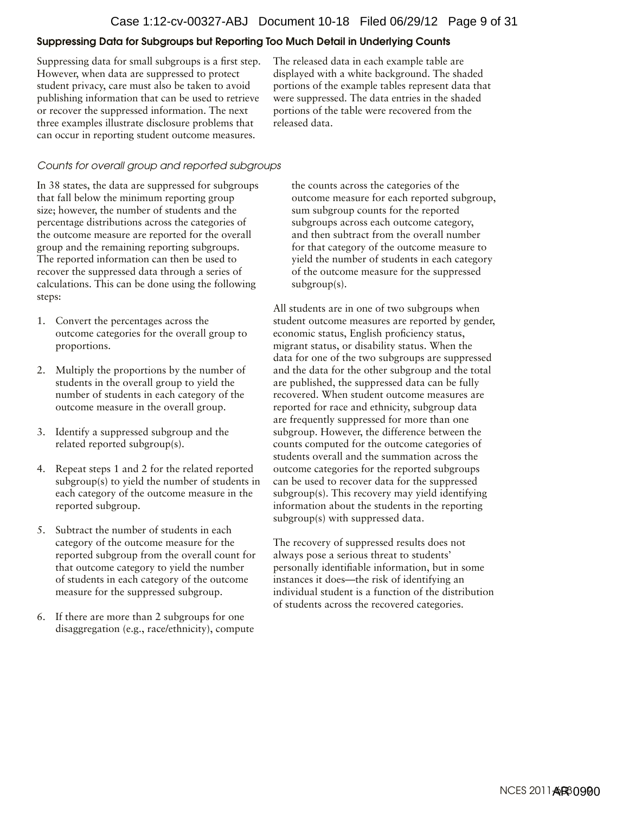#### Suppressing Data for Subgroups but Reporting Too Much Detail in Underlying Counts

Suppressing data for small subgroups is a first step. However, when data are suppressed to protect student privacy, care must also be taken to avoid publishing information that can be used to retrieve or recover the suppressed information. The next three examples illustrate disclosure problems that can occur in reporting student outcome measures.

The released data in each example table are displayed with a white background. The shaded portions of the example tables represent data that were suppressed. The data entries in the shaded portions of the table were recovered from the released data.

#### *Counts for overall group and reported subgroups*

In 38 states, the data are suppressed for subgroups that fall below the minimum reporting group size; however, the number of students and the percentage distributions across the categories of the outcome measure are reported for the overall group and the remaining reporting subgroups. The reported information can then be used to recover the suppressed data through a series of calculations. This can be done using the following steps:

- 1. Convert the percentages across the outcome categories for the overall group to proportions.
- 2. Multiply the proportions by the number of students in the overall group to yield the number of students in each category of the outcome measure in the overall group.
- 3. Identify a suppressed subgroup and the related reported subgroup(s).
- 4. Repeat steps 1 and 2 for the related reported subgroup(s) to yield the number of students in each category of the outcome measure in the reported subgroup.
- 5. Subtract the number of students in each category of the outcome measure for the reported subgroup from the overall count for that outcome category to yield the number of students in each category of the outcome measure for the suppressed subgroup.
- 6. If there are more than 2 subgroups for one disaggregation (e.g., race/ethnicity), compute

the counts across the categories of the outcome measure for each reported subgroup, sum subgroup counts for the reported subgroups across each outcome category, and then subtract from the overall number for that category of the outcome measure to yield the number of students in each category of the outcome measure for the suppressed subgroup(s).

All students are in one of two subgroups when student outcome measures are reported by gender, economic status, English proficiency status, migrant status, or disability status. When the data for one of the two subgroups are suppressed and the data for the other subgroup and the total are published, the suppressed data can be fully recovered. When student outcome measures are reported for race and ethnicity, subgroup data are frequently suppressed for more than one subgroup. However, the difference between the counts computed for the outcome categories of students overall and the summation across the outcome categories for the reported subgroups can be used to recover data for the suppressed subgroup(s). This recovery may yield identifying information about the students in the reporting subgroup(s) with suppressed data.

The recovery of suppressed results does not always pose a serious threat to students' personally identifiable information, but in some instances it does—the risk of identifying an individual student is a function of the distribution of students across the recovered categories.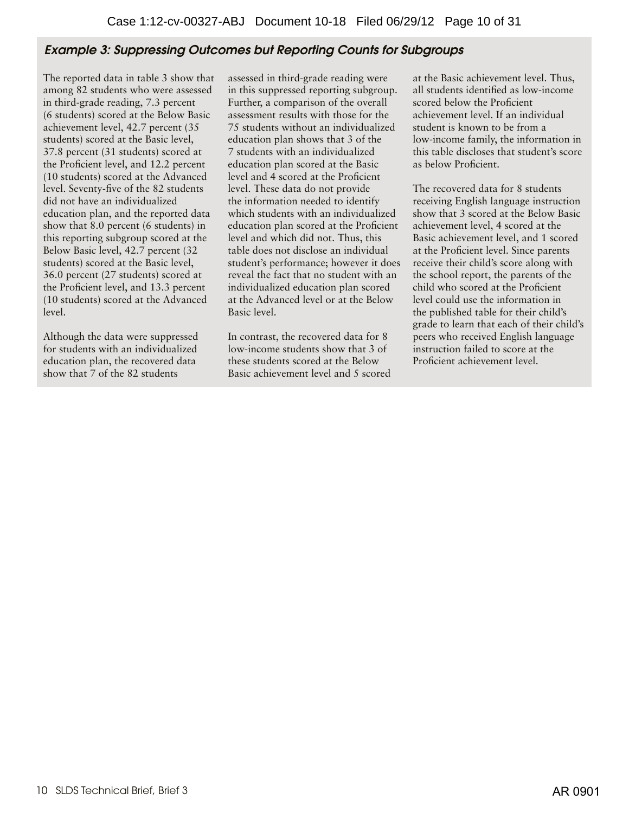# Example 3: Suppressing Outcomes but Reporting Counts for Subgroups

The reported data in table 3 show that among 82 students who were assessed in third-grade reading, 7.3 percent (6 students) scored at the Below Basic achievement level, 42.7 percent (35 students) scored at the Basic level, 37.8 percent (31 students) scored at the Proficient level, and 12.2 percent (10 students) scored at the Advanced level. Seventy-five of the 82 students did not have an individualized education plan, and the reported data show that 8.0 percent (6 students) in this reporting subgroup scored at the Below Basic level, 42.7 percent (32 students) scored at the Basic level, 36.0 percent (27 students) scored at the Proficient level, and 13.3 percent (10 students) scored at the Advanced level.

Although the data were suppressed for students with an individualized education plan, the recovered data show that 7 of the 82 students

assessed in third-grade reading were in this suppressed reporting subgroup. Further, a comparison of the overall assessment results with those for the 75 students without an individualized education plan shows that 3 of the 7 students with an individualized education plan scored at the Basic level and 4 scored at the Proficient level. These data do not provide the information needed to identify which students with an individualized education plan scored at the Proficient level and which did not. Thus, this table does not disclose an individual student's performance; however it does reveal the fact that no student with an individualized education plan scored at the Advanced level or at the Below Basic level.

In contrast, the recovered data for 8 low-income students show that 3 of these students scored at the Below Basic achievement level and 5 scored at the Basic achievement level. Thus, all students identified as low-income scored below the Proficient achievement level. If an individual student is known to be from a low-income family, the information in this table discloses that student's score as below Proficient.

The recovered data for 8 students receiving English language instruction show that 3 scored at the Below Basic achievement level, 4 scored at the Basic achievement level, and 1 scored at the Proficient level. Since parents receive their child's score along with the school report, the parents of the child who scored at the Proficient level could use the information in the published table for their child's grade to learn that each of their child's peers who received English language instruction failed to score at the Proficient achievement level.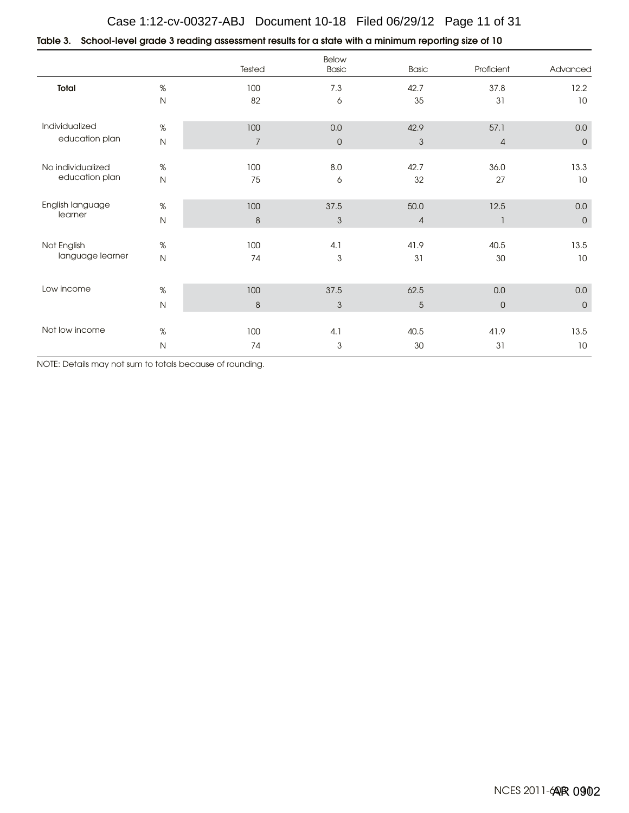#### Table 3. School-level grade 3 reading assessment results for a state with a minimum reporting size of 10

|                   |              | Tested           | Below<br><b>Basic</b> | <b>Basic</b>   | Proficient     | Advanced     |
|-------------------|--------------|------------------|-----------------------|----------------|----------------|--------------|
| Total             | $\%$         | 100              | 7.3                   | 42.7           | 37.8           | 12.2         |
|                   | ${\sf N}$    | 82               | 6                     | 35             | 31             | 10           |
| Individualized    | %            | 100              | 0.0                   | 42.9           | 57.1           | 0.0          |
| education plan    | $\mathsf{N}$ | $\overline{7}$   | $\overline{0}$        | $\mathfrak{Z}$ | $\overline{4}$ | $\mathbf 0$  |
| No individualized | $\%$         | 100              | 8.0                   | 42.7           | 36.0           | 13.3         |
| education plan    | $\mathsf N$  | 75               | 6                     | 32             | 27             | 10           |
| English language  | $\%$         | 100              | 37.5                  | 50.0           | 12.5           | $0.0\,$      |
| learner           | $\mathsf N$  | $\boldsymbol{8}$ | $\mathfrak{S}$        | $\overline{4}$ | $\mathbf{1}$   | $\mathsf{O}$ |
| Not English       | $\%$         | 100              | 4.1                   | 41.9           | 40.5           | 13.5         |
| language learner  | $\mathsf N$  | 74               | 3                     | 31             | 30             | 10           |
| Low income        |              |                  |                       |                |                |              |
|                   | %            | 100              | 37.5                  | 62.5           | 0.0            | 0.0          |
|                   | $\mathsf{N}$ | $\,8\,$          | 3                     | $\overline{5}$ | $\overline{0}$ | $\mathbf 0$  |
| Not low income    | %            | 100              | 4.1                   | 40.5           | 41.9           | 13.5         |
|                   | $\mathsf{N}$ | 74               | 3                     | 30             | 31             | 10           |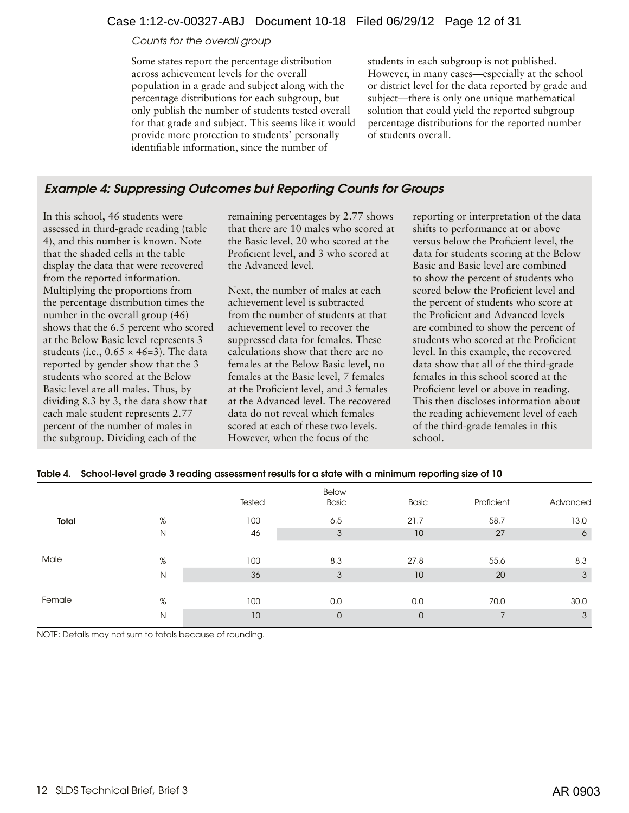#### Case 1:12-cv-00327-ABJ Document 10-18 Filed 06/29/12 Page 12 of 31

#### *Counts for the overall group*

Some states report the percentage distribution across achievement levels for the overall population in a grade and subject along with the percentage distributions for each subgroup, but only publish the number of students tested overall for that grade and subject. This seems like it would provide more protection to students' personally identifiable information, since the number of

students in each subgroup is not published. However, in many cases—especially at the school or district level for the data reported by grade and subject—there is only one unique mathematical solution that could yield the reported subgroup percentage distributions for the reported number of students overall.

# Example 4: Suppressing Outcomes but Reporting Counts for Groups

In this school, 46 students were assessed in third-grade reading (table 4), and this number is known. Note that the shaded cells in the table display the data that were recovered from the reported information. Multiplying the proportions from the percentage distribution times the number in the overall group (46) shows that the 6.5 percent who scored at the Below Basic level represents 3 students (i.e.,  $0.65 \times 46=3$ ). The data reported by gender show that the 3 students who scored at the Below Basic level are all males. Thus, by dividing 8.3 by 3, the data show that each male student represents 2.77 percent of the number of males in the subgroup. Dividing each of the

remaining percentages by 2.77 shows that there are 10 males who scored at the Basic level, 20 who scored at the Proficient level, and 3 who scored at the Advanced level.

Next, the number of males at each achievement level is subtracted from the number of students at that achievement level to recover the suppressed data for females. These calculations show that there are no females at the Below Basic level, no females at the Basic level, 7 females at the Proficient level, and 3 females at the Advanced level. The recovered data do not reveal which females scored at each of these two levels. However, when the focus of the

reporting or interpretation of the data shifts to performance at or above versus below the Proficient level, the data for students scoring at the Below Basic and Basic level are combined to show the percent of students who scored below the Proficient level and the percent of students who score at the Proficient and Advanced levels are combined to show the percent of students who scored at the Proficient level. In this example, the recovered data show that all of the third-grade females in this school scored at the Proficient level or above in reading. This then discloses information about the reading achievement level of each of the third-grade females in this school.

|  |  |  | Table 4. School-level grade 3 reading assessment results for a state with a minimum reporting size of 10 |  |
|--|--|--|----------------------------------------------------------------------------------------------------------|--|
|--|--|--|----------------------------------------------------------------------------------------------------------|--|

|        |   | Tested | Below<br><b>Basic</b> | <b>Basic</b>   | Proficient | Advanced |
|--------|---|--------|-----------------------|----------------|------------|----------|
| Total  | % | 100    | 6.5                   | 21.7           | 58.7       | 13.0     |
|        | N | 46     | 3                     | 10             | 27         | 6        |
|        |   |        |                       |                |            |          |
| Male   | % | 100    | 8.3                   | 27.8           | 55.6       | 8.3      |
|        | N | 36     | 3                     | 10             | 20         | 3        |
|        |   |        |                       |                |            |          |
| Female | % | 100    | 0.0                   | 0.0            | 70.0       | 30.0     |
|        | N | 10     | $\mathbf{0}$          | $\overline{0}$ |            | 3        |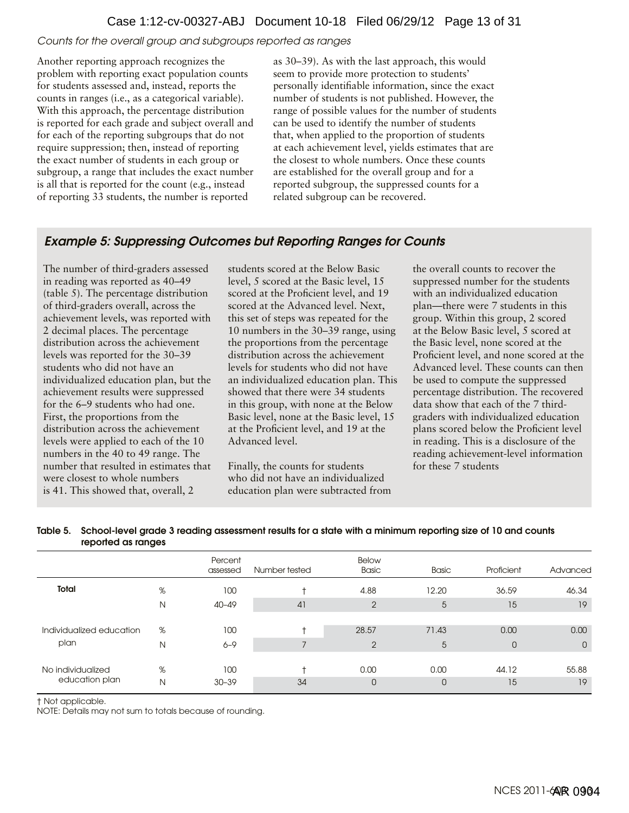*Counts for the overall group and subgroups reported as ranges* 

Another reporting approach recognizes the problem with reporting exact population counts for students assessed and, instead, reports the counts in ranges (i.e., as a categorical variable). With this approach, the percentage distribution is reported for each grade and subject overall and for each of the reporting subgroups that do not require suppression; then, instead of reporting the exact number of students in each group or subgroup, a range that includes the exact number is all that is reported for the count (e.g., instead of reporting 33 students, the number is reported

as 30–39). As with the last approach, this would seem to provide more protection to students' personally identifiable information, since the exact number of students is not published. However, the range of possible values for the number of students can be used to identify the number of students that, when applied to the proportion of students at each achievement level, yields estimates that are the closest to whole numbers. Once these counts are established for the overall group and for a reported subgroup, the suppressed counts for a related subgroup can be recovered.

# Example 5: Suppressing Outcomes but Reporting Ranges for Counts

The number of third-graders assessed in reading was reported as 40–49 (table 5). The percentage distribution of third-graders overall, across the achievement levels, was reported with 2 decimal places. The percentage distribution across the achievement levels was reported for the 30–39 students who did not have an individualized education plan, but the achievement results were suppressed for the 6–9 students who had one. First, the proportions from the distribution across the achievement levels were applied to each of the 10 numbers in the 40 to 49 range. The number that resulted in estimates that were closest to whole numbers is 41. This showed that, overall, 2

students scored at the Below Basic level, 5 scored at the Basic level, 15 scored at the Proficient level, and 19 scored at the Advanced level. Next, this set of steps was repeated for the 10 numbers in the 30–39 range, using the proportions from the percentage distribution across the achievement levels for students who did not have an individualized education plan. This showed that there were 34 students in this group, with none at the Below Basic level, none at the Basic level, 15 at the Proficient level, and 19 at the Advanced level.

Finally, the counts for students who did not have an individualized education plan were subtracted from the overall counts to recover the suppressed number for the students with an individualized education plan—there were 7 students in this group. Within this group, 2 scored at the Below Basic level, 5 scored at the Basic level, none scored at the Proficient level, and none scored at the Advanced level. These counts can then be used to compute the suppressed percentage distribution. The recovered data show that each of the 7 thirdgraders with individualized education plans scored below the Proficient level in reading. This is a disclosure of the reading achievement-level information for these 7 students

|                          |   | Percent<br>assessed | Number tested | Below<br><b>Basic</b> | <b>Basic</b>   | Proficient     | Advanced    |
|--------------------------|---|---------------------|---------------|-----------------------|----------------|----------------|-------------|
| Total                    | % | 100                 |               | 4.88                  | 12.20          | 36.59          | 46.34       |
|                          | Ν | $40 - 49$           | 41            | $\overline{2}$        | 5              | 15             | 19          |
|                          |   |                     |               |                       |                |                |             |
| Individualized education | % | 100                 |               | 28.57                 | 71.43          | 0.00           | 0.00        |
| plan                     | N | $6 - 9$             |               | $\overline{2}$        | 5              | $\overline{0}$ | $\mathbf 0$ |
|                          |   |                     |               |                       |                |                |             |
| No individualized        | % | 100                 |               | 0.00                  | 0.00           | 44.12          | 55.88       |
| education plan           | Ν | $30 - 39$           | 34            | 0                     | $\overline{0}$ | 15             | 19          |

#### Table 5. School-level grade 3 reading assessment results for a state with a minimum reporting size of 10 and counts reported as ranges

† Not applicable.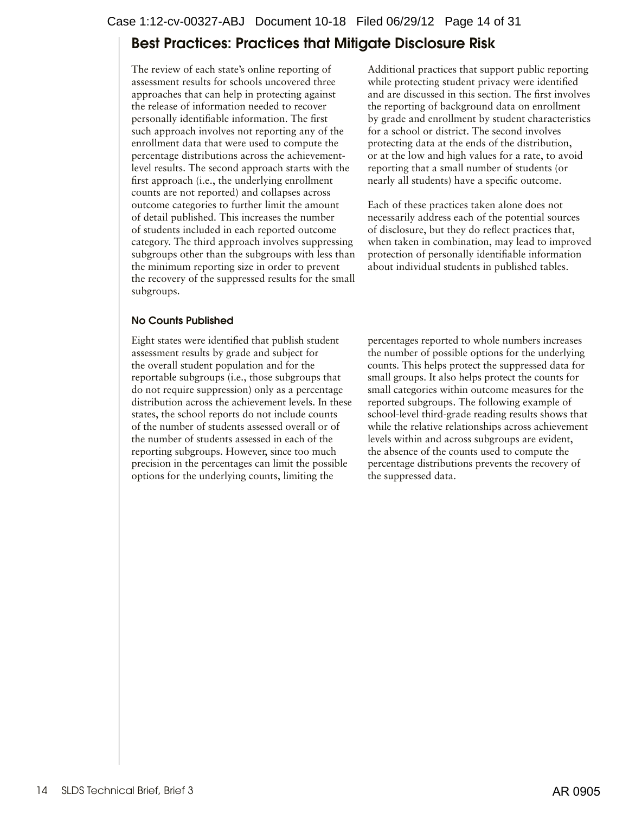# <span id="page-13-0"></span>Best Practices: Practices that Mitigate Disclosure Risk

The review of each state's online reporting of assessment results for schools uncovered three approaches that can help in protecting against the release of information needed to recover personally identifiable information. The first such approach involves not reporting any of the enrollment data that were used to compute the percentage distributions across the achievementlevel results. The second approach starts with the first approach (i.e., the underlying enrollment counts are not reported) and collapses across outcome categories to further limit the amount of detail published. This increases the number of students included in each reported outcome category. The third approach involves suppressing subgroups other than the subgroups with less than the minimum reporting size in order to prevent the recovery of the suppressed results for the small subgroups.

#### No Counts Published

Eight states were identified that publish student assessment results by grade and subject for the overall student population and for the reportable subgroups (i.e., those subgroups that do not require suppression) only as a percentage distribution across the achievement levels. In these states, the school reports do not include counts of the number of students assessed overall or of the number of students assessed in each of the reporting subgroups. However, since too much precision in the percentages can limit the possible options for the underlying counts, limiting the

Additional practices that support public reporting while protecting student privacy were identified and are discussed in this section. The first involves the reporting of background data on enrollment by grade and enrollment by student characteristics for a school or district. The second involves protecting data at the ends of the distribution, or at the low and high values for a rate, to avoid reporting that a small number of students (or nearly all students) have a specific outcome.

Each of these practices taken alone does not necessarily address each of the potential sources of disclosure, but they do reflect practices that, when taken in combination, may lead to improved protection of personally identifiable information about individual students in published tables.

percentages reported to whole numbers increases the number of possible options for the underlying counts. This helps protect the suppressed data for small groups. It also helps protect the counts for small categories within outcome measures for the reported subgroups. The following example of school-level third-grade reading results shows that while the relative relationships across achievement levels within and across subgroups are evident, the absence of the counts used to compute the percentage distributions prevents the recovery of the suppressed data.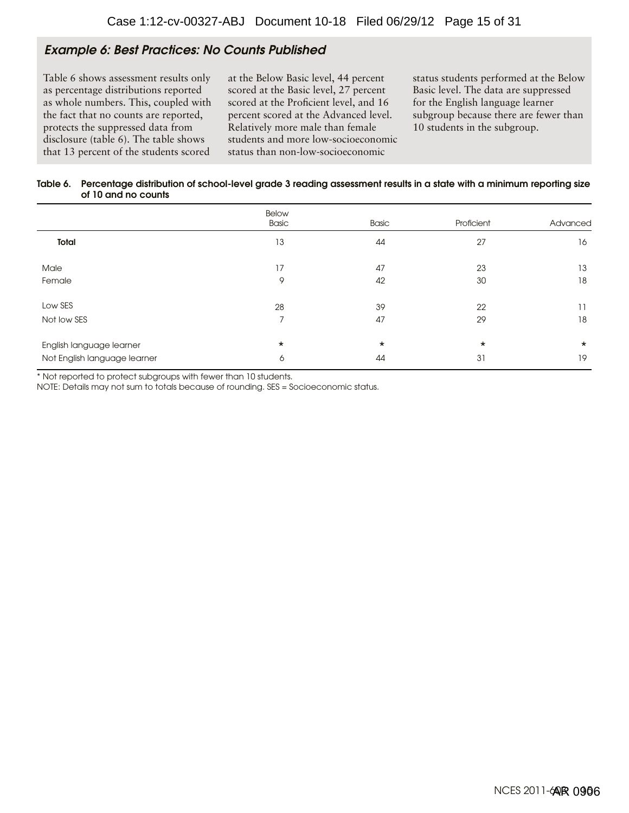## Example 6: Best Practices: No Counts Published

Table 6 shows assessment results only as percentage distributions reported as whole numbers. This, coupled with the fact that no counts are reported, protects the suppressed data from disclosure (table 6). The table shows that 13 percent of the students scored

at the Below Basic level, 44 percent scored at the Basic level, 27 percent scored at the Proficient level, and 16 percent scored at the Advanced level. Relatively more male than female students and more low-socioeconomic status than non-low-socioeconomic

status students performed at the Below Basic level. The data are suppressed for the English language learner subgroup because there are fewer than 10 students in the subgroup.

#### Table 6. Percentage distribution of school-level grade 3 reading assessment results in a state with a minimum reporting size of 10 and no counts

|                              | Below<br>Basic | Basic   | Proficient | Advanced |
|------------------------------|----------------|---------|------------|----------|
| <b>Total</b>                 | 13             | 44      | 27         | 16       |
| Male                         | 17             | 47      | 23         | 13       |
| Female                       | 9              | 42      | 30         | 18       |
| Low SES                      | 28             | 39      | 22         | 11       |
| Not low SES                  | $\overline{ }$ | 47      | 29         | 18       |
| English language learner     | $\star$        | $\star$ | $^\star$   | $\star$  |
| Not English language learner | 6              | 44      | 31         | 19       |

\* Not reported to protect subgroups with fewer than 10 students.

NOTE: Details may not sum to totals because of rounding. SES = Socioeconomic status.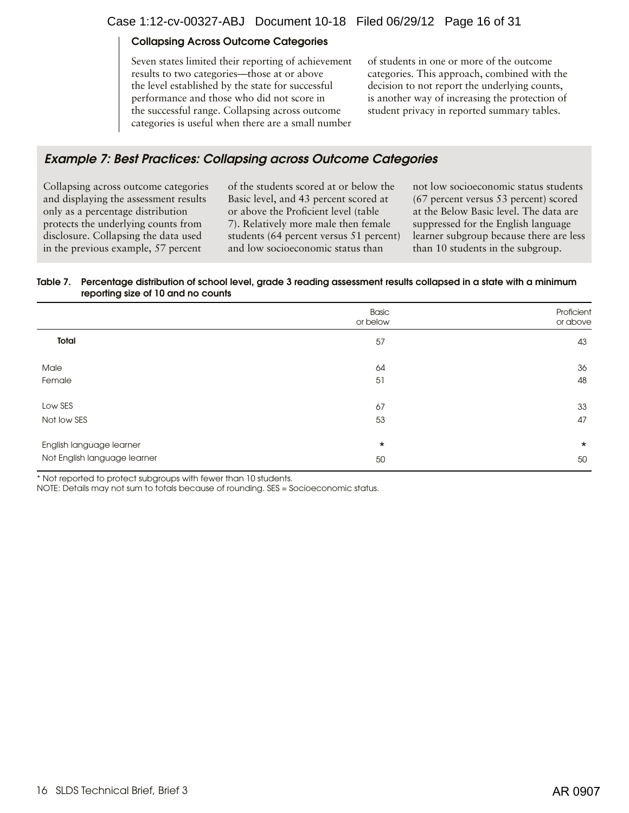#### Collapsing Across Outcome Categories

Seven states limited their reporting of achievement results to two categories—those at or above the level established by the state for successful performance and those who did not score in the successful range. Collapsing across outcome categories is useful when there are a small number of students in one or more of the outcome categories. This approach, combined with the decision to not report the underlying counts, is another way of increasing the protection of student privacy in reported summary tables.

## Example 7: Best Practices: Collapsing across Outcome Categories

Collapsing across outcome categories and displaying the assessment results only as a percentage distribution protects the underlying counts from disclosure. Collapsing the data used in the previous example, 57 percent

of the students scored at or below the Basic level, and 43 percent scored at or above the Proficient level (table 7). Relatively more male then female students (64 percent versus 51 percent) and low socioeconomic status than

not low socioeconomic status students (67 percent versus 53 percent) scored at the Below Basic level. The data are suppressed for the English language learner subgroup because there are less than 10 students in the subgroup.

#### Table 7. Percentage distribution of school level, grade 3 reading assessment results collapsed in a state with a minimum reporting size of 10 and no counts

|                              | Basic<br>or below | Proficient<br>or above |
|------------------------------|-------------------|------------------------|
| Total                        | 57                | 43                     |
| Male                         | 64                | 36                     |
| Female                       | 51                | 48                     |
| Low SES                      | 67                | 33                     |
| Not low SES                  | 53                | 47                     |
| English language learner     | $\star$           | $\star$                |
| Not English language learner | 50                | 50                     |

\* Not reported to protect subgroups with fewer than 10 students.

NOTE: Details may not sum to totals because of rounding. SES = Socioeconomic status.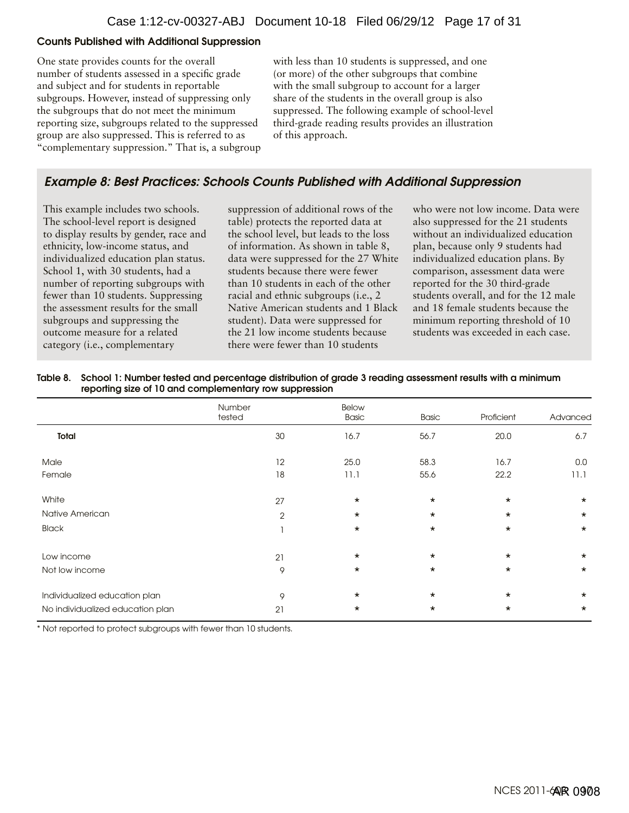#### Counts Published with Additional Suppression

One state provides counts for the overall number of students assessed in a specific grade and subject and for students in reportable subgroups. However, instead of suppressing only the subgroups that do not meet the minimum reporting size, subgroups related to the suppressed group are also suppressed. This is referred to as "complementary suppression." That is, a subgroup

with less than 10 students is suppressed, and one (or more) of the other subgroups that combine with the small subgroup to account for a larger share of the students in the overall group is also suppressed. The following example of school-level third-grade reading results provides an illustration of this approach.

## Example 8: Best Practices: Schools Counts Published with Additional Suppression

This example includes two schools. The school-level report is designed to display results by gender, race and ethnicity, low-income status, and individualized education plan status. School 1, with 30 students, had a number of reporting subgroups with fewer than 10 students. Suppressing the assessment results for the small subgroups and suppressing the outcome measure for a related category (i.e., complementary

suppression of additional rows of the table) protects the reported data at the school level, but leads to the loss of information. As shown in table 8, data were suppressed for the 27 White students because there were fewer than 10 students in each of the other racial and ethnic subgroups (i.e., 2 Native American students and 1 Black student). Data were suppressed for the 21 low income students because there were fewer than 10 students

who were not low income. Data were also suppressed for the 21 students without an individualized education plan, because only 9 students had individualized education plans. By comparison, assessment data were reported for the 30 third-grade students overall, and for the 12 male and 18 female students because the minimum reporting threshold of 10 students was exceeded in each case.

| Table 8. School 1: Number tested and percentage distribution of grade 3 reading assessment results with a minimum |
|-------------------------------------------------------------------------------------------------------------------|
| reporting size of 10 and complementary row suppression                                                            |

|                                  | Number<br>tested | <b>Below</b><br>Basic | Basic   | Proficient | Advanced |
|----------------------------------|------------------|-----------------------|---------|------------|----------|
| Total                            | 30               | 16.7                  | 56.7    | 20.0       | 6.7      |
| Male                             | 12               | 25.0                  | 58.3    | 16.7       | 0.0      |
| Female                           | 18               | 11.1                  | 55.6    | 22.2       | 11.1     |
| White                            | 27               | $\star$               | $\star$ | $\star$    | $\star$  |
| Native American                  | $\mathbf{2}$     | $\star$               | $\star$ | $\star$    | $\star$  |
| <b>Black</b>                     |                  | $\star$               | $\star$ | $\star$    | $\star$  |
| Low income                       | 21               | $\star$               | $\star$ | $\star$    | $\star$  |
| Not low income                   | 9                | $\star$               | $\star$ | $\star$    | $\star$  |
| Individualized education plan    | 9                | $\star$               | $\star$ | $\star$    | $\star$  |
| No individualized education plan | 21               | $\star$               | $\star$ | $\star$    | $\star$  |

\* Not reported to protect subgroups with fewer than 10 students.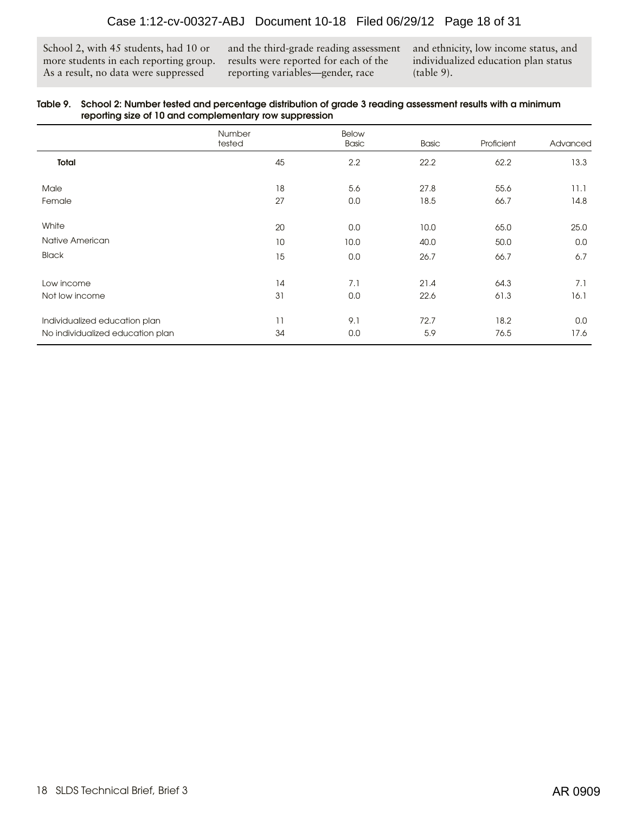School 2, with 45 students, had 10 or more students in each reporting group. As a result, no data were suppressed

and the third-grade reading assessment results were reported for each of the reporting variables—gender, race

and ethnicity, low income status, and individualized education plan status (table 9).

#### Table 9. School 2: Number tested and percentage distribution of grade 3 reading assessment results with a minimum reporting size of 10 and complementary row suppression

|                                  | Number<br>tested | <b>Below</b><br><b>Basic</b> | <b>Basic</b> | Proficient | Advanced |
|----------------------------------|------------------|------------------------------|--------------|------------|----------|
| Total                            | 45               | 2.2                          | 22.2         | 62.2       | 13.3     |
| Male                             | 18               | 5.6                          | 27.8         | 55.6       | 11.1     |
| Female                           | 27               | 0.0                          | 18.5         | 66.7       | 14.8     |
| White                            | 20               | 0.0                          | 10.0         | 65.0       | 25.0     |
| Native American                  | 10               | 10.0                         | 40.0         | 50.0       | 0.0      |
| <b>Black</b>                     | 15               | 0.0                          | 26.7         | 66.7       | 6.7      |
| Low income                       | 14               | 7.1                          | 21.4         | 64.3       | 7.1      |
| Not low income                   | 31               | 0.0                          | 22.6         | 61.3       | 16.1     |
| Individualized education plan    | 11               | 9.1                          | 72.7         | 18.2       | 0.0      |
| No individualized education plan | 34               | 0.0                          | 5.9          | 76.5       | 17.6     |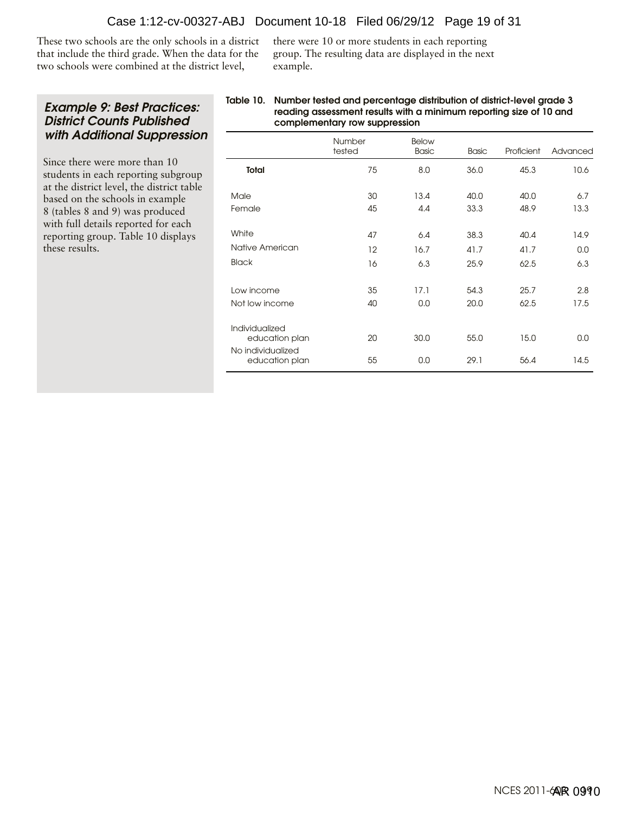These two schools are the only schools in a district that include the third grade. When the data for the two schools were combined at the district level,

there were 10 or more students in each reporting group. The resulting data are displayed in the next example.

## Example 9: Best Practices: District Counts Published with Additional Suppression

Since there were more than 10 students in each reporting subgroup at the district level, the district table based on the schools in example 8 (tables 8 and 9) was produced with full details reported for each reporting group. Table 10 displays these results.

#### Table 10. Number tested and percentage distribution of district-level grade 3 reading assessment results with a minimum reporting size of 10 and complementary row suppression

|                                                       | Number<br>tested | <b>Below</b><br><b>Basic</b> | <b>Basic</b> | Proficient | Advanced |
|-------------------------------------------------------|------------------|------------------------------|--------------|------------|----------|
| <b>Total</b>                                          | 75               | 8.0                          | 36.0         | 45.3       | 10.6     |
| Male                                                  | 30               | 13.4                         | 40.0         | 40.0       | 6.7      |
| Female                                                | 45               | 4.4                          | 33.3         | 48.9       | 13.3     |
| White                                                 | 47               | 6.4                          | 38.3         | 40.4       | 14.9     |
| Native American                                       | 12               | 16.7                         | 41.7         | 41.7       | 0.0      |
| <b>Black</b>                                          | 16               | 6,3                          | 25.9         | 62.5       | 6,3      |
| Low income                                            | 35               | 17.1                         | 54.3         | 25.7       | 2.8      |
| Not low income                                        | 40               | 0.0                          | 20.0         | 62.5       | 17.5     |
| Individualized<br>education plan<br>No individualized | 20               | 30.0                         | 55.0         | 15.0       | 0.0      |
| education plan                                        | 55               | 0.0                          | 29.1         | 56.4       | 14.5     |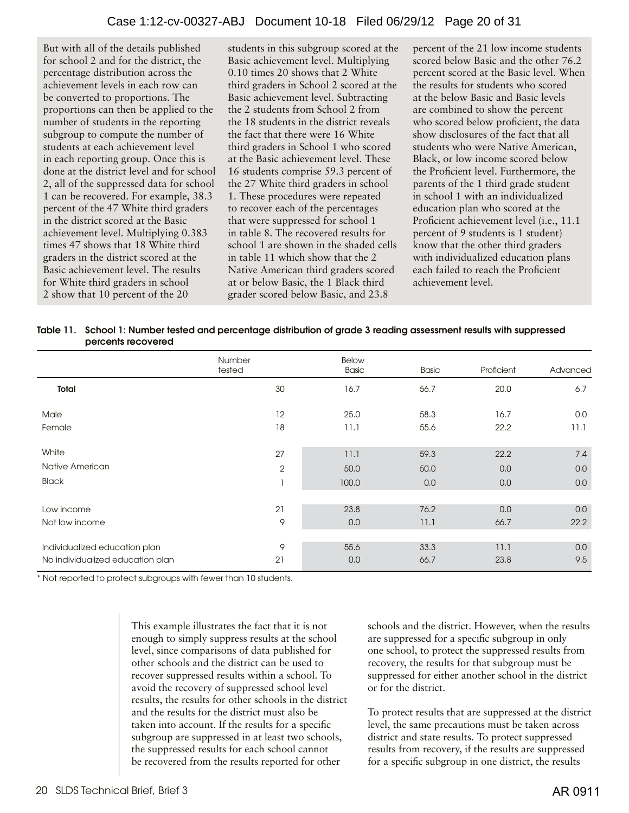But with all of the details published for school 2 and for the district, the percentage distribution across the achievement levels in each row can be converted to proportions. The proportions can then be applied to the number of students in the reporting subgroup to compute the number of students at each achievement level in each reporting group. Once this is done at the district level and for school 2, all of the suppressed data for school 1 can be recovered. For example, 38.3 percent of the 47 White third graders in the district scored at the Basic achievement level. Multiplying 0.383 times 47 shows that 18 White third graders in the district scored at the Basic achievement level. The results for White third graders in school 2 show that 10 percent of the 20

students in this subgroup scored at the Basic achievement level. Multiplying 0.10 times 20 shows that 2 White third graders in School 2 scored at the Basic achievement level. Subtracting the 2 students from School 2 from the 18 students in the district reveals the fact that there were 16 White third graders in School 1 who scored at the Basic achievement level. These 16 students comprise 59.3 percent of the 27 White third graders in school 1. These procedures were repeated to recover each of the percentages that were suppressed for school 1 in table 8. The recovered results for school 1 are shown in the shaded cells in table 11 which show that the 2 Native American third graders scored at or below Basic, the 1 Black third grader scored below Basic, and 23.8

percent of the 21 low income students scored below Basic and the other 76.2 percent scored at the Basic level. When the results for students who scored at the below Basic and Basic levels are combined to show the percent who scored below proficient, the data show disclosures of the fact that all students who were Native American, Black, or low income scored below the Proficient level. Furthermore, the parents of the 1 third grade student in school 1 with an individualized education plan who scored at the Proficient achievement level (i.e., 11.1 percent of 9 students is 1 student) know that the other third graders with individualized education plans each failed to reach the Proficient achievement level.

| Table 11. School 1: Number tested and percentage distribution of grade 3 reading assessment results with suppressed |
|---------------------------------------------------------------------------------------------------------------------|
| percents recovered                                                                                                  |

|                                  | Number<br>tested | <b>Below</b><br><b>Basic</b> | <b>Basic</b> | Proficient | Advanced |
|----------------------------------|------------------|------------------------------|--------------|------------|----------|
| Total                            | 30               | 16.7                         | 56.7         | 20.0       | 6.7      |
| Male                             | 12               | 25.0                         | 58.3         | 16.7       | 0.0      |
| Female                           | 18               | 11.1                         | 55.6         | 22.2       | 11.1     |
| White                            | 27               | 11.1                         | 59.3         | 22.2       | 7.4      |
| Native American                  | $\overline{2}$   | 50.0                         | 50.0         | 0.0        | 0.0      |
| <b>Black</b>                     |                  | 100.0                        | 0.0          | 0.0        | 0.0      |
| Low income                       | 21               | 23.8                         | 76.2         | 0.0        | 0.0      |
| Not low income                   | 9                | 0.0                          | 11.1         | 66.7       | 22.2     |
|                                  |                  |                              |              |            |          |
| Individualized education plan    | 9                | 55.6                         | 33.3         | 11.1       | 0.0      |
| No individualized education plan | 21               | 0.0                          | 66.7         | 23.8       | 9.5      |

\* Not reported to protect subgroups with fewer than 10 students.

This example illustrates the fact that it is not enough to simply suppress results at the school level, since comparisons of data published for other schools and the district can be used to recover suppressed results within a school. To avoid the recovery of suppressed school level results, the results for other schools in the district and the results for the district must also be taken into account. If the results for a specific subgroup are suppressed in at least two schools, the suppressed results for each school cannot be recovered from the results reported for other

schools and the district. However, when the results are suppressed for a specific subgroup in only one school, to protect the suppressed results from recovery, the results for that subgroup must be suppressed for either another school in the district or for the district.

To protect results that are suppressed at the district level, the same precautions must be taken across district and state results. To protect suppressed results from recovery, if the results are suppressed for a specific subgroup in one district, the results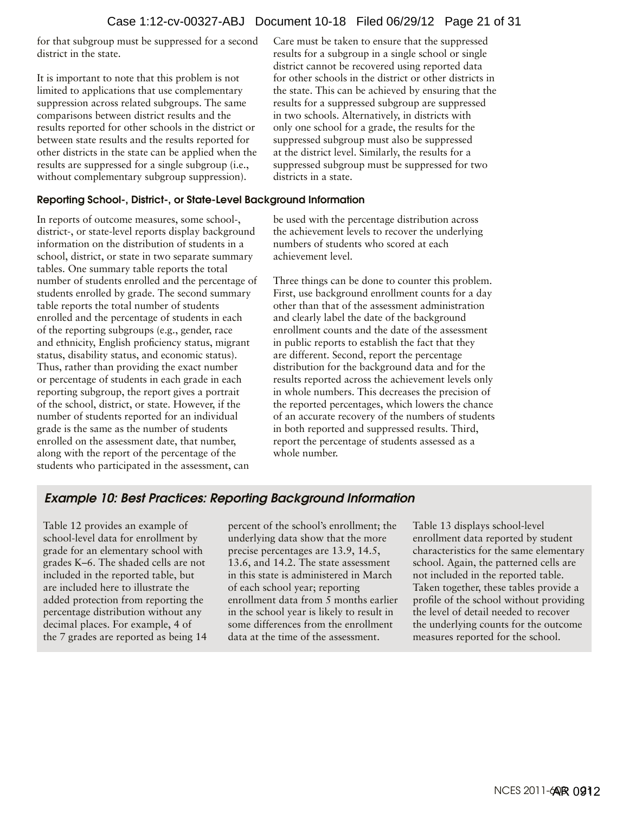for that subgroup must be suppressed for a second district in the state.

It is important to note that this problem is not limited to applications that use complementary suppression across related subgroups. The same comparisons between district results and the results reported for other schools in the district or between state results and the results reported for other districts in the state can be applied when the results are suppressed for a single subgroup (i.e., without complementary subgroup suppression).

#### Reporting School-, District-, or State-Level Background Information

In reports of outcome measures, some school-, district-, or state-level reports display background information on the distribution of students in a school, district, or state in two separate summary tables. One summary table reports the total number of students enrolled and the percentage of students enrolled by grade. The second summary table reports the total number of students enrolled and the percentage of students in each of the reporting subgroups (e.g., gender, race and ethnicity, English proficiency status, migrant status, disability status, and economic status). Thus, rather than providing the exact number or percentage of students in each grade in each reporting subgroup, the report gives a portrait of the school, district, or state. However, if the number of students reported for an individual grade is the same as the number of students enrolled on the assessment date, that number, along with the report of the percentage of the students who participated in the assessment, can

Care must be taken to ensure that the suppressed results for a subgroup in a single school or single district cannot be recovered using reported data for other schools in the district or other districts in the state. This can be achieved by ensuring that the results for a suppressed subgroup are suppressed in two schools. Alternatively, in districts with only one school for a grade, the results for the suppressed subgroup must also be suppressed at the district level. Similarly, the results for a suppressed subgroup must be suppressed for two districts in a state.

be used with the percentage distribution across the achievement levels to recover the underlying numbers of students who scored at each achievement level.

Three things can be done to counter this problem. First, use background enrollment counts for a day other than that of the assessment administration and clearly label the date of the background enrollment counts and the date of the assessment in public reports to establish the fact that they are different. Second, report the percentage distribution for the background data and for the results reported across the achievement levels only in whole numbers. This decreases the precision of the reported percentages, which lowers the chance of an accurate recovery of the numbers of students in both reported and suppressed results. Third, report the percentage of students assessed as a whole number.

## Example 10: Best Practices: Reporting Background Information

Table 12 provides an example of school-level data for enrollment by grade for an elementary school with grades K–6. The shaded cells are not included in the reported table, but are included here to illustrate the added protection from reporting the percentage distribution without any decimal places. For example, 4 of the 7 grades are reported as being 14

percent of the school's enrollment; the underlying data show that the more precise percentages are 13.9, 14.5, 13.6, and 14.2. The state assessment in this state is administered in March of each school year; reporting enrollment data from 5 months earlier in the school year is likely to result in some differences from the enrollment data at the time of the assessment.

Table 13 displays school-level enrollment data reported by student characteristics for the same elementary school. Again, the patterned cells are not included in the reported table. Taken together, these tables provide a profile of the school without providing the level of detail needed to recover the underlying counts for the outcome measures reported for the school.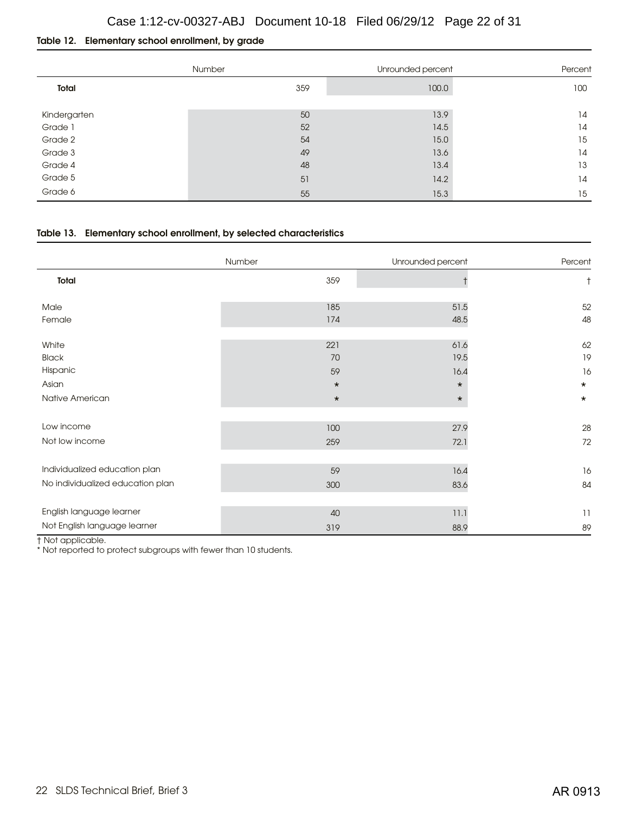#### Table 12. Elementary school enrollment, by grade

|                         | Number | Unrounded percent | Percent |
|-------------------------|--------|-------------------|---------|
| Total                   | 359    | 100.0             | 100     |
|                         | 50     | 13.9              | 14      |
| Kindergarten<br>Grade 1 | 52     | 14.5              | 14      |
|                         |        |                   |         |
| Grade 2                 | 54     | 15.0              | 15      |
| Grade 3                 | 49     | 13.6              | 14      |
| Grade 4                 | 48     | 13.4              | 13      |
| Grade 5                 | 51     | 14.2              | 14      |
| Grade 6                 | 55     | 15.3              | 15      |

#### Table 13. Elementary school enrollment, by selected characteristics

|                                  | Number  | Unrounded percent | Percent    |
|----------------------------------|---------|-------------------|------------|
| Total                            | 359     |                   | $^\dagger$ |
| Male                             | 185     | 51.5              | 52         |
| Female                           | 174     | 48.5              | 48         |
| White                            | 221     | 61.6              | 62         |
| <b>Black</b>                     | 70      | 19.5              | 19         |
| Hispanic                         | 59      | 16.4              | 16         |
| Asian                            | $\star$ | $\star$           | $\star$    |
| Native American                  | $\star$ | $\star$           | $\star$    |
|                                  |         |                   |            |
| Low income                       | 100     | 27.9              | 28         |
| Not low income                   | 259     | 72.1              | 72         |
|                                  |         |                   |            |
| Individualized education plan    | 59      | 16.4              | 16         |
| No individualized education plan | 300     | 83.6              | 84         |
| English language learner         |         |                   |            |
|                                  | 40      | 11.1              | 11         |
| Not English language learner     | 319     | 88.9              | 89         |

† Not applicable.

\* Not reported to protect subgroups with fewer than 10 students.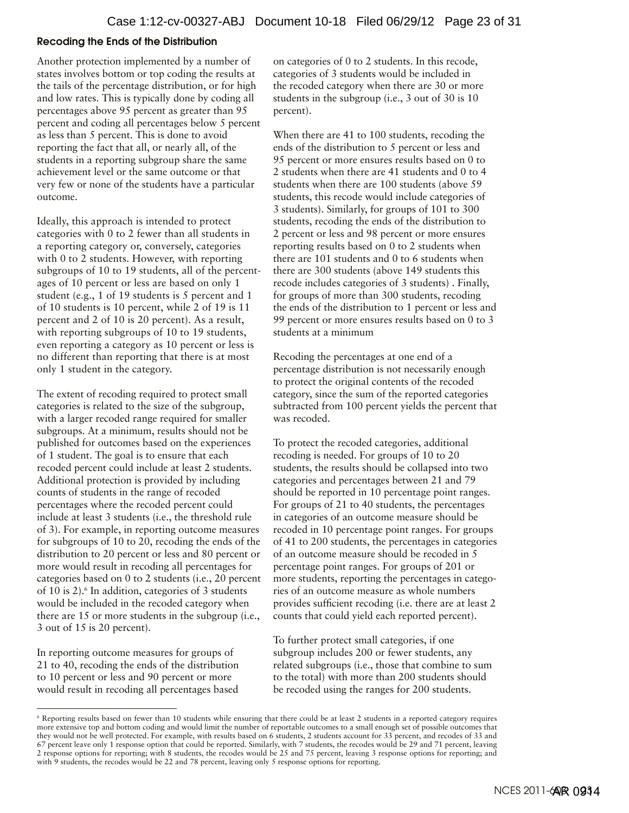#### Recoding the Ends of the Distribution

Another protection implemented by a number of states involves bottom or top coding the results at the tails of the percentage distribution, or for high and low rates. This is typically done by coding all percentages above 95 percent as greater than 95 percent and coding all percentages below 5 percent as less than 5 percent. This is done to avoid reporting the fact that all, or nearly all, of the students in a reporting subgroup share the same achievement level or the same outcome or that very few or none of the students have a particular outcome.

Ideally, this approach is intended to protect categories with 0 to 2 fewer than all students in a reporting category or, conversely, categories with 0 to 2 students. However, with reporting subgroups of 10 to 19 students, all of the percentages of 10 percent or less are based on only 1 student (e.g., 1 of 19 students is 5 percent and 1 of 10 students is 10 percent, while 2 of 19 is 11 percent and 2 of 10 is 20 percent). As a result, with reporting subgroups of 10 to 19 students, even reporting a category as 10 percent or less is no different than reporting that there is at most only 1 student in the category.

The extent of recoding required to protect small categories is related to the size of the subgroup, with a larger recoded range required for smaller subgroups. At a minimum, results should not be published for outcomes based on the experiences of 1 student. The goal is to ensure that each recoded percent could include at least 2 students. Additional protection is provided by including counts of students in the range of recoded percentages where the recoded percent could include at least 3 students (i.e., the threshold rule of 3). For example, in reporting outcome measures for subgroups of 10 to 20, recoding the ends of the distribution to 20 percent or less and 80 percent or more would result in recoding all percentages for categories based on 0 to 2 students (i.e., 20 percent of 10 is 2).<sup>6</sup> In addition, categories of 3 students would be included in the recoded category when there are 15 or more students in the subgroup (i.e., 3 out of 15 is 20 percent).

In reporting outcome measures for groups of 21 to 40, recoding the ends of the distribution to 10 percent or less and 90 percent or more would result in recoding all percentages based

on categories of 0 to 2 students. In this recode, categories of 3 students would be included in the recoded category when there are 30 or more students in the subgroup (i.e., 3 out of 30 is 10 percent).

When there are 41 to 100 students, recoding the ends of the distribution to 5 percent or less and 95 percent or more ensures results based on 0 to 2 students when there are 41 students and 0 to 4 students when there are 100 students (above 59 students, this recode would include categories of 3 students). Similarly, for groups of 101 to 300 students, recoding the ends of the distribution to 2 percent or less and 98 percent or more ensures reporting results based on 0 to 2 students when there are 101 students and 0 to 6 students when there are 300 students (above 149 students this recode includes categories of 3 students) . Finally, for groups of more than 300 students, recoding the ends of the distribution to 1 percent or less and 99 percent or more ensures results based on 0 to 3 students at a minimum

Recoding the percentages at one end of a percentage distribution is not necessarily enough to protect the original contents of the recoded category, since the sum of the reported categories subtracted from 100 percent yields the percent that was recoded.

To protect the recoded categories, additional recoding is needed. For groups of 10 to 20 students, the results should be collapsed into two categories and percentages between 21 and 79 should be reported in 10 percentage point ranges. For groups of 21 to 40 students, the percentages in categories of an outcome measure should be recoded in 10 percentage point ranges. For groups of 41 to 200 students, the percentages in categories of an outcome measure should be recoded in 5 percentage point ranges. For groups of 201 or more students, reporting the percentages in categories of an outcome measure as whole numbers provides sufficient recoding (i.e. there are at least 2 counts that could yield each reported percent).

To further protect small categories, if one subgroup includes 200 or fewer students, any related subgroups (i.e., those that combine to sum to the total) with more than 200 students should be recoded using the ranges for 200 students.

<sup>6</sup> Reporting results based on fewer than 10 students while ensuring that there could be at least 2 students in a reported category requires more extensive top and bottom coding and would limit the number of reportable outcomes to a small enough set of possible outcomes that they would not be well protected. For example, with results based on 6 students, 2 students account for 33 percent, and recodes of 33 and 67 percent leave only 1 response option that could be reported. Similarly, with 7 students, the recodes would be 29 and 71 percent, leaving 2 response options for reporting; with 8 students, the recodes would be 25 and 75 percent, leaving 3 response options for reporting; and with 9 students, the recodes would be 22 and 78 percent, leaving only 5 response options for reporting.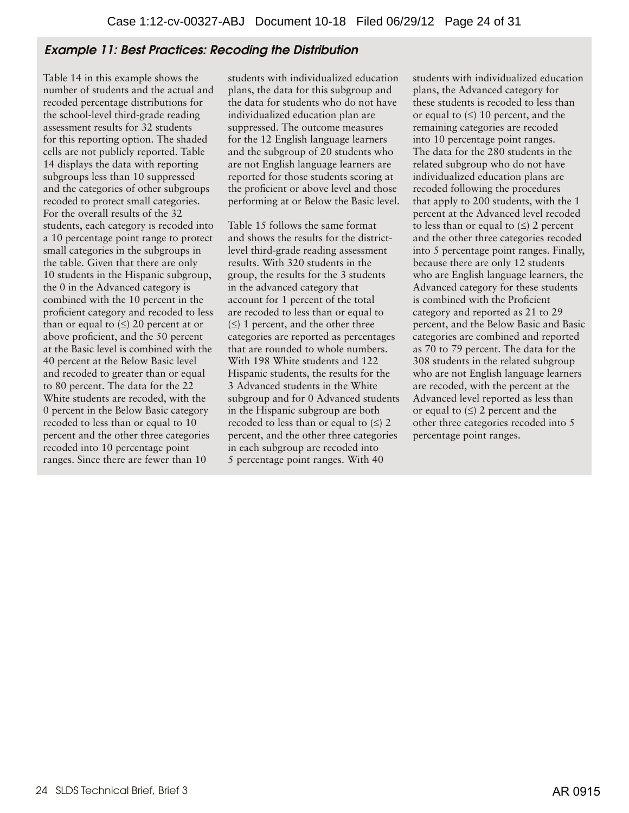# Example 11: Best Practices: Recoding the Distribution

Table 14 in this example shows the number of students and the actual and recoded percentage distributions for the school-level third-grade reading assessment results for 32 students for this reporting option. The shaded cells are not publicly reported. Table 14 displays the data with reporting subgroups less than 10 suppressed and the categories of other subgroups recoded to protect small categories. For the overall results of the 32 students, each category is recoded into a 10 percentage point range to protect small categories in the subgroups in the table. Given that there are only 10 students in the Hispanic subgroup, the 0 in the Advanced category is combined with the 10 percent in the proficient category and recoded to less than or equal to  $(\le)$  20 percent at or above proficient, and the 50 percent at the Basic level is combined with the 40 percent at the Below Basic level and recoded to greater than or equal to 80 percent. The data for the 22 White students are recoded, with the 0 percent in the Below Basic category recoded to less than or equal to 10 percent and the other three categories recoded into 10 percentage point ranges. Since there are fewer than 10

students with individualized education plans, the data for this subgroup and the data for students who do not have individualized education plan are suppressed. The outcome measures for the 12 English language learners and the subgroup of 20 students who are not English language learners are reported for those students scoring at the proficient or above level and those performing at or Below the Basic level.

Table 15 follows the same format and shows the results for the districtlevel third-grade reading assessment results. With 320 students in the group, the results for the 3 students in the advanced category that account for 1 percent of the total are recoded to less than or equal to  $(\le)$  1 percent, and the other three categories are reported as percentages that are rounded to whole numbers. With 198 White students and 122 Hispanic students, the results for the 3 Advanced students in the White subgroup and for 0 Advanced students in the Hispanic subgroup are both recoded to less than or equal to  $(\le)$  2 percent, and the other three categories in each subgroup are recoded into 5 percentage point ranges. With 40

students with individualized education plans, the Advanced category for these students is recoded to less than or equal to  $(≤)$  10 percent, and the remaining categories are recoded into 10 percentage point ranges. The data for the 280 students in the related subgroup who do not have individualized education plans are recoded following the procedures that apply to 200 students, with the 1 percent at the Advanced level recoded to less than or equal to  $(\le)$  2 percent and the other three categories recoded into 5 percentage point ranges. Finally, because there are only 12 students who are English language learners, the Advanced category for these students is combined with the Proficient category and reported as 21 to 29 percent, and the Below Basic and Basic categories are combined and reported as 70 to 79 percent. The data for the 308 students in the related subgroup who are not English language learners are recoded, with the percent at the Advanced level reported as less than or equal to  $(\le)$  2 percent and the other three categories recoded into 5 percentage point ranges.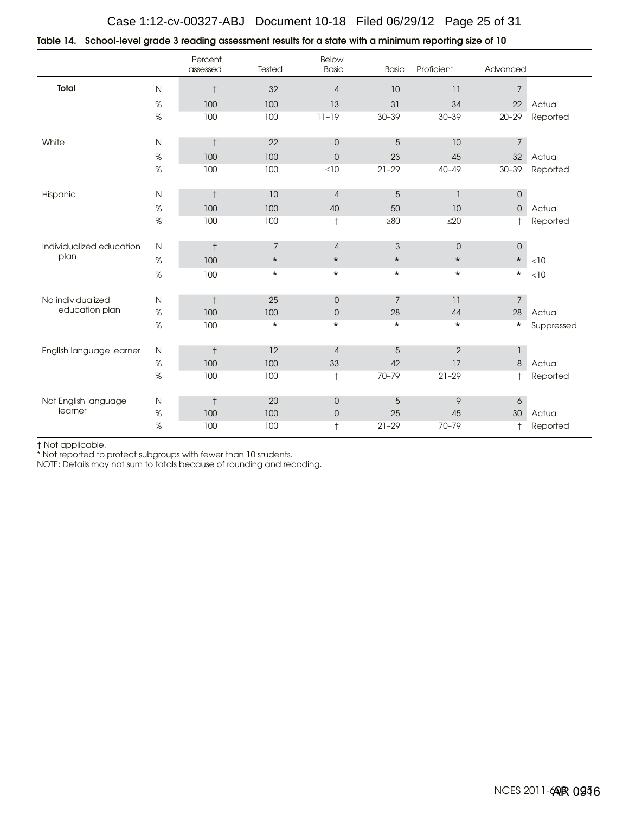## Case 1:12-cv-00327-ABJ Document 10-18 Filed 06/29/12 Page 25 of 31

|  | 10 Table 14.   School-level grade 3 reading assessment results for a state with a minimum reporting size of |  |
|--|-------------------------------------------------------------------------------------------------------------|--|
|  |                                                                                                             |  |

|                          |              | Percent<br>assessed | Tested         | Below<br><b>Basic</b> | <b>Basic</b>              | Proficient      | Advanced            |            |
|--------------------------|--------------|---------------------|----------------|-----------------------|---------------------------|-----------------|---------------------|------------|
| <b>Total</b>             | $\mathsf{N}$ | $^\dagger$          | 32             | $\sqrt{4}$            | 10                        | 11              | $\overline{7}$      |            |
|                          | $\%$         | 100                 | 100            | 13                    | 31                        | 34              | 22                  | Actual     |
|                          | $\%$         | 100                 | 100            | $11 - 19$             | $30 - 39$                 | $30 - 39$       | $20 - 29$           | Reported   |
| White                    | ${\sf N}$    | $^\dagger$          | 22             | $\mathsf{O}$          | $\sqrt{5}$                | 10              | $\overline{7}$      |            |
|                          | $\%$         | 100                 | 100            | $\mathsf{O}$          | 23                        | 45              | 32                  | Actual     |
|                          | $\%$         | 100                 | 100            | $\leq 10$             | $21 - 29$                 | $40 - 49$       | $30 - 39$           | Reported   |
| Hispanic                 | $\mathsf N$  | $^\dagger$          | 10             | $\sqrt{4}$            | $\sqrt{5}$                | $\mathbf{1}$    | $\mathsf{O}\xspace$ |            |
|                          | $\%$         | 100                 | 100            | 40                    | 50                        | 10              | $\overline{0}$      | Actual     |
|                          | $\%$         | 100                 | 100            | $^\dagger$            | $\geq 80$                 | $\leq$ 20       | $^{\dagger}$        | Reported   |
| Individualized education | $\mathsf N$  | $^\dagger$          | $\overline{7}$ | $\sqrt{4}$            | $\ensuremath{\mathsf{3}}$ | $\overline{0}$  | $\mathsf{O}\xspace$ |            |
| plan                     | $\%$         | 100                 | $\star$        | $\star$               | $\star$                   | $\star$         | $\star$             | $<10$      |
|                          | $\%$         | 100                 | $\star$        | $\star$               | $\star$                   | $\star$         | $\star$             | < 10       |
| No individualized        | $\mathsf{N}$ | $\ddagger$          | 25             | $\mathbf 0$           | 7                         | 11              | $\overline{7}$      |            |
| education plan           | $\%$         | 100                 | 100            | $\mathsf{O}$          | 28                        | 44              | 28                  | Actual     |
|                          | $\%$         | 100                 | $\star$        | $\star$               | $\star$                   | $\star$         | $^\star$            | Suppressed |
| English language learner | $\mathsf{N}$ | $\ddagger$          | 12             | $\overline{4}$        | 5                         | $\overline{2}$  | $\mathbf{1}$        |            |
|                          | $\%$         | 100                 | 100            | 33                    | 42                        | 17              | 8                   | Actual     |
|                          | %            | 100                 | 100            | $^\dagger$            | $70 - 79$                 | $21 - 29$       | $^{\dagger}$        | Reported   |
| Not English language     | ${\sf N}$    | $\ddagger$          | 20             | $\mathsf{O}$          | $\sqrt{5}$                | $\, \mathsf{9}$ | $\boldsymbol{6}$    |            |
| learner                  | $\%$         | 100                 | 100            | $\mathsf{O}$          | 25                        | 45              | 30                  | Actual     |
|                          | %            | 100                 | 100            | $^\dagger$            | $21 - 29$                 | 70-79           | $^+$                | Reported   |

† Not applicable.

\* Not reported to protect subgroups with fewer than 10 students.

NOTE: Details may not sum to totals because of rounding and recoding.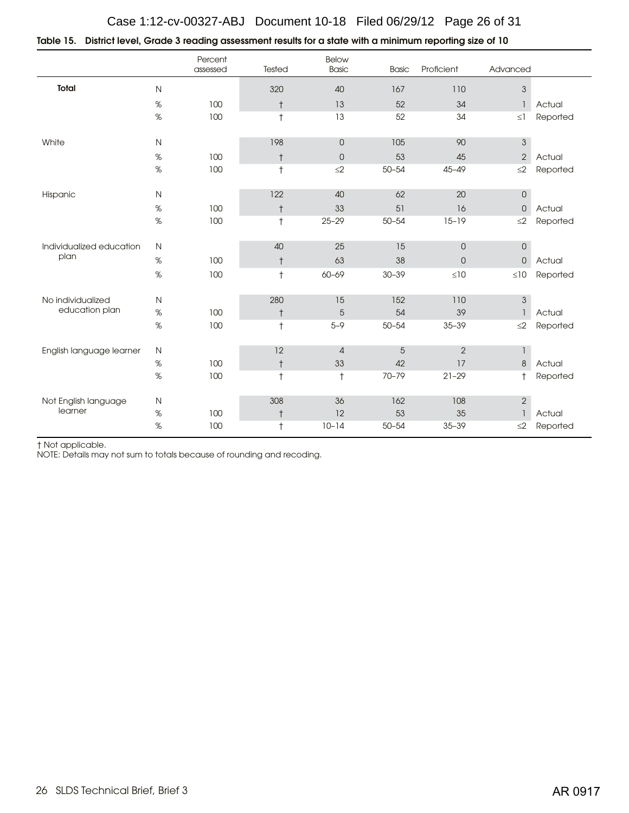| Table 15. District level, Grade 3 reading assessment results for a state with a minimum reporting size of 10 |  |  |
|--------------------------------------------------------------------------------------------------------------|--|--|
|                                                                                                              |  |  |

|                          |              | Percent<br>assessed | Tested     | Below<br><b>Basic</b> | <b>Basic</b> | Proficient          | Advanced                  |          |
|--------------------------|--------------|---------------------|------------|-----------------------|--------------|---------------------|---------------------------|----------|
| Total                    | $\mathsf N$  |                     | 320        | 40                    | 167          | 110                 | $\ensuremath{\mathsf{3}}$ |          |
|                          | $\%$         | 100                 | $^\dagger$ | 13                    | 52           | 34                  | $\mathbf{1}$              | Actual   |
|                          | $\%$         | 100                 | $\ddagger$ | 13                    | 52           | 34                  | $\leq$ ]                  | Reported |
| White                    | $\mathsf N$  |                     | 198        | $\overline{O}$        | 105          | 90                  | $\ensuremath{\mathsf{3}}$ |          |
|                          | $\%$         | 100                 | $^\dagger$ | $\mathsf{O}$          | 53           | 45                  | $\sqrt{2}$                | Actual   |
|                          | $\%$         | 100                 | $\ddagger$ | $\leq$ 2              | $50 - 54$    | $45 - 49$           | $\leq$ 2                  | Reported |
| Hispanic                 | $\mathsf{N}$ |                     | 122        | 40                    | 62           | $20\,$              | 0                         |          |
|                          | $\%$         | 100                 | $^\dagger$ | 33                    | 51           | 16                  | $\mathbf 0$               | Actual   |
|                          | $\%$         | 100                 | $\ddagger$ | $25 - 29$             | $50 - 54$    | $15 - 19$           | $\leq$ 2                  | Reported |
| Individualized education | $\mathsf N$  |                     | 40         | 25                    | 15           | $\overline{0}$      | $\hbox{O}$                |          |
| plan                     | $\%$         | 100                 | $^\dagger$ | 63                    | 38           | $\mathsf{O}\xspace$ | $\mathsf{O}\xspace$       | Actual   |
|                          | $\%$         | 100                 | $\ddagger$ | 60-69                 | $30 - 39$    | $\leq 10$           | $\leq 10$                 | Reported |
| No individualized        | $\mathsf{N}$ |                     | 280        | 15                    | 152          | 110                 | $\ensuremath{\mathsf{3}}$ |          |
| education plan           | $\%$         | 100                 | $^\dagger$ | 5                     | 54           | 39                  | $\overline{1}$            | Actual   |
|                          | $\%$         | 100                 | $^\dagger$ | $5 - 9$               | $50 - 54$    | $35 - 39$           | $\leq$ 2                  | Reported |
| English language learner | $\mathsf{N}$ |                     | 12         | $\overline{4}$        | $\sqrt{5}$   | $\overline{2}$      | $\mathbf{1}$              |          |
|                          | $\%$         | 100                 | $^\dagger$ | 33                    | 42           | 17                  | $\,8\,$                   | Actual   |
|                          | $\%$         | 100                 | $\dagger$  | $\ddagger$            | 70-79        | $21 - 29$           | $\ddagger$                | Reported |
| Not English language     | $\mathsf{N}$ |                     | 308        | 36                    | 162          | 108                 | $\overline{c}$            |          |
| learner                  | $\%$         | 100                 | $^\dagger$ | 12                    | 53           | 35                  | $\mathbf{1}$              | Actual   |
|                          | $\%$         | 100                 | $\ddagger$ | $10 - 14$             | $50 - 54$    | $35 - 39$           | $\leq$ 2                  | Reported |

† Not applicable.

NOTE: Details may not sum to totals because of rounding and recoding.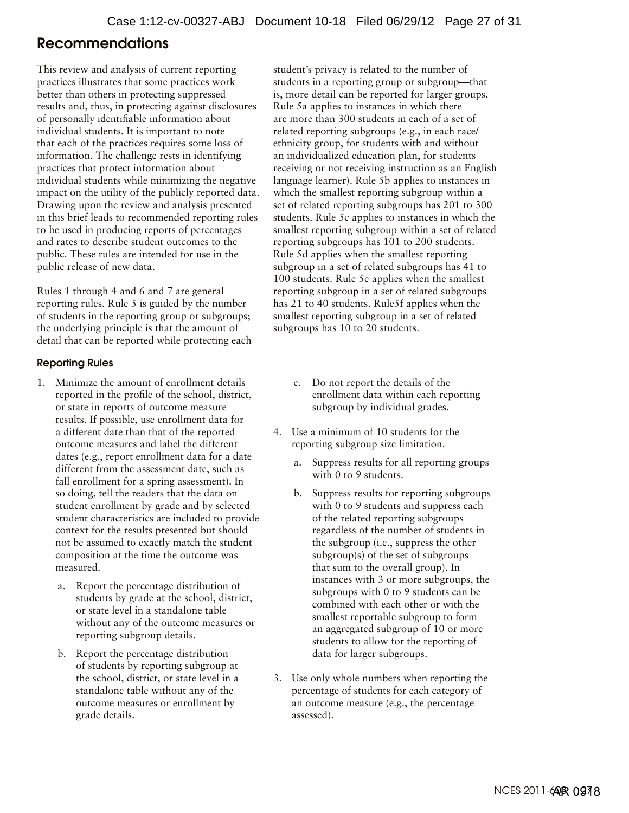# <span id="page-26-0"></span>Recommendations

This review and analysis of current reporting practices illustrates that some practices work better than others in protecting suppressed results and, thus, in protecting against disclosures of personally identifiable information about individual students. It is important to note that each of the practices requires some loss of information. The challenge rests in identifying practices that protect information about individual students while minimizing the negative impact on the utility of the publicly reported data. Drawing upon the review and analysis presented in this brief leads to recommended reporting rules to be used in producing reports of percentages and rates to describe student outcomes to the public. These rules are intended for use in the public release of new data.

Rules 1 through 4 and 6 and 7 are general reporting rules. Rule 5 is guided by the number of students in the reporting group or subgroups; the underlying principle is that the amount of detail that can be reported while protecting each

#### Reporting Rules

- 1. Minimize the amount of enrollment details reported in the profile of the school, district, or state in reports of outcome measure results. If possible, use enrollment data for a different date than that of the reported outcome measures and label the different dates (e.g., report enrollment data for a date different from the assessment date, such as fall enrollment for a spring assessment). In so doing, tell the readers that the data on student enrollment by grade and by selected student characteristics are included to provide context for the results presented but should not be assumed to exactly match the student composition at the time the outcome was measured.
	- a. Report the percentage distribution of students by grade at the school, district, or state level in a standalone table without any of the outcome measures or reporting subgroup details.
	- b. Report the percentage distribution of students by reporting subgroup at the school, district, or state level in a standalone table without any of the outcome measures or enrollment by grade details.

student's privacy is related to the number of students in a reporting group or subgroup—that is, more detail can be reported for larger groups. Rule 5a applies to instances in which there are more than 300 students in each of a set of related reporting subgroups (e.g., in each race/ ethnicity group, for students with and without an individualized education plan, for students receiving or not receiving instruction as an English language learner). Rule 5b applies to instances in which the smallest reporting subgroup within a set of related reporting subgroups has 201 to 300 students. Rule 5c applies to instances in which the smallest reporting subgroup within a set of related reporting subgroups has 101 to 200 students. Rule 5d applies when the smallest reporting subgroup in a set of related subgroups has 41 to 100 students. Rule 5e applies when the smallest reporting subgroup in a set of related subgroups has 21 to 40 students. Rule5f applies when the smallest reporting subgroup in a set of related subgroups has 10 to 20 students.

- c. Do not report the details of the enrollment data within each reporting subgroup by individual grades.
- 4. Use a minimum of 10 students for the reporting subgroup size limitation.
	- a. Suppress results for all reporting groups with 0 to 9 students.
	- b. Suppress results for reporting subgroups with 0 to 9 students and suppress each of the related reporting subgroups regardless of the number of students in the subgroup (i.e., suppress the other subgroup(s) of the set of subgroups that sum to the overall group). In instances with 3 or more subgroups, the subgroups with 0 to 9 students can be combined with each other or with the smallest reportable subgroup to form an aggregated subgroup of 10 or more students to allow for the reporting of data for larger subgroups.
- 3. Use only whole numbers when reporting the percentage of students for each category of an outcome measure (e.g., the percentage assessed).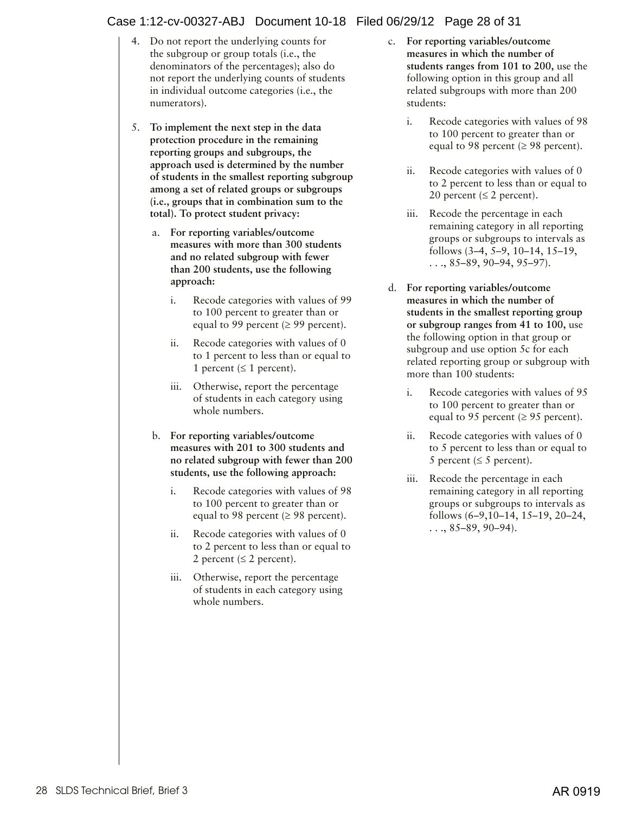#### Case 1:12-cv-00327-ABJ Document 10-18 Filed 06/29/12 Page 28 of 31

- 4. Do not report the underlying counts for the subgroup or group totals (i.e., the denominators of the percentages); also do not report the underlying counts of students in individual outcome categories (i.e., the numerators).
- 5. **To implement the next step in the data protection procedure in the remaining reporting groups and subgroups, the approach used is determined by the number of students in the smallest reporting subgroup among a set of related groups or subgroups (i.e., groups that in combination sum to the total). To protect student privacy:**
	- a. **For reporting variables/outcome measures with more than 300 students and no related subgroup with fewer than 200 students, use the following approach:**
		- i. Recode categories with values of 99 to 100 percent to greater than or equal to 99 percent ( $\geq$  99 percent).
		- ii. Recode categories with values of 0 to 1 percent to less than or equal to 1 percent ( $\leq 1$  percent).
		- iii. Otherwise, report the percentage of students in each category using whole numbers.
	- b. **For reporting variables/outcome measures with 201 to 300 students and no related subgroup with fewer than 200 students, use the following approach:**
		- i. Recode categories with values of 98 to 100 percent to greater than or equal to 98 percent ( $\geq$  98 percent).
		- ii. Recode categories with values of 0 to 2 percent to less than or equal to 2 percent ( $\leq$  2 percent).
		- iii. Otherwise, report the percentage of students in each category using whole numbers.
- c. **For reporting variables/outcome measures in which the number of students ranges from 101 to 200,** use the following option in this group and all related subgroups with more than 200 students:
	- i. Recode categories with values of 98 to 100 percent to greater than or equal to 98 percent ( $\geq$  98 percent).
	- ii. Recode categories with values of 0 to 2 percent to less than or equal to 20 percent ( $\leq 2$  percent).
	- iii. Recode the percentage in each remaining category in all reporting groups or subgroups to intervals as follows (3–4, 5–9, 10–14, 15–19,  $\ldots$ , 85–89, 90–94, 95–97).
- d. **For reporting variables/outcome measures in which the number of students in the smallest reporting group or subgroup ranges from 41 to 100,** use the following option in that group or subgroup and use option 5c for each related reporting group or subgroup with more than 100 students:
	- i. Recode categories with values of 95 to 100 percent to greater than or equal to 95 percent ( $\geq$  95 percent).
	- ii. Recode categories with values of 0 to 5 percent to less than or equal to 5 percent ( $\leq$  5 percent).
	- iii. Recode the percentage in each remaining category in all reporting groups or subgroups to intervals as follows (6–9,10–14, 15–19, 20–24,  $\ldots$ , 85–89, 90–94).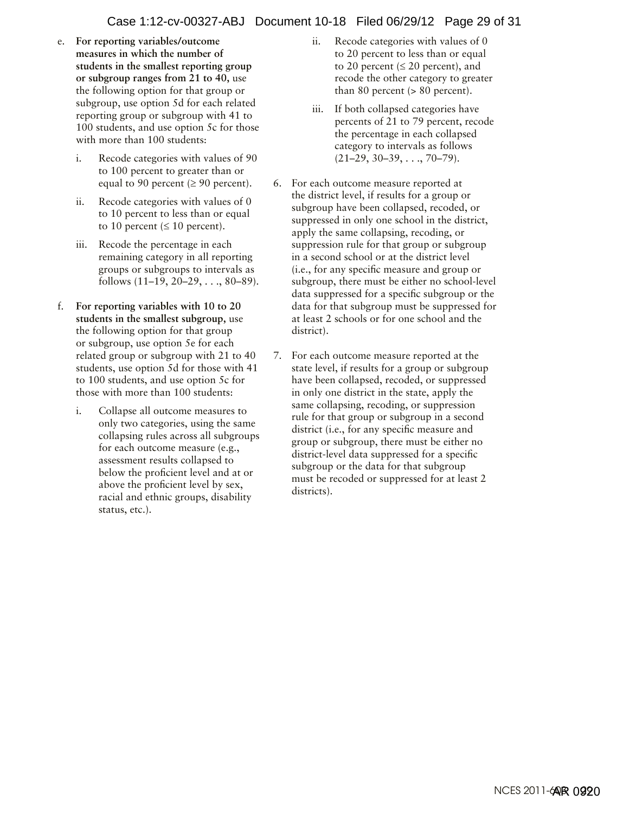#### Case 1:12-cv-00327-ABJ Document 10-18 Filed 06/29/12 Page 29 of 31

- e. **For reporting variables/outcome measures in which the number of students in the smallest reporting group or subgroup ranges from 21 to 40,** use the following option for that group or subgroup, use option 5d for each related reporting group or subgroup with 41 to 100 students, and use option 5c for those with more than 100 students:
	- i. Recode categories with values of 90 to 100 percent to greater than or equal to 90 percent ( $\geq$  90 percent).
	- ii. Recode categories with values of 0 to 10 percent to less than or equal to 10 percent ( $\leq 10$  percent).
	- iii. Recode the percentage in each remaining category in all reporting groups or subgroups to intervals as follows (11–19, 20–29, . . ., 80–89).
- f. **For reporting variables with 10 to 20 students in the smallest subgroup,** use the following option for that group or subgroup, use option 5e for each related group or subgroup with 21 to 40 students, use option 5d for those with 41 to 100 students, and use option 5c for those with more than 100 students:
	- i. Collapse all outcome measures to only two categories, using the same collapsing rules across all subgroups for each outcome measure (e.g., assessment results collapsed to below the proficient level and at or above the proficient level by sex, racial and ethnic groups, disability status, etc.).
- ii. Recode categories with values of 0 to 20 percent to less than or equal to 20 percent ( $\leq$  20 percent), and recode the other category to greater than 80 percent  $(> 80$  percent).
- iii. If both collapsed categories have percents of 21 to 79 percent, recode the percentage in each collapsed category to intervals as follows  $(21–29, 30–39, \ldots, 70–79).$
- 6. For each outcome measure reported at the district level, if results for a group or subgroup have been collapsed, recoded, or suppressed in only one school in the district, apply the same collapsing, recoding, or suppression rule for that group or subgroup in a second school or at the district level (i.e., for any specific measure and group or subgroup, there must be either no school-level data suppressed for a specific subgroup or the data for that subgroup must be suppressed for at least 2 schools or for one school and the district).
- 7. For each outcome measure reported at the state level, if results for a group or subgroup have been collapsed, recoded, or suppressed in only one district in the state, apply the same collapsing, recoding, or suppression rule for that group or subgroup in a second district (i.e., for any specific measure and group or subgroup, there must be either no district-level data suppressed for a specific subgroup or the data for that subgroup must be recoded or suppressed for at least 2 districts).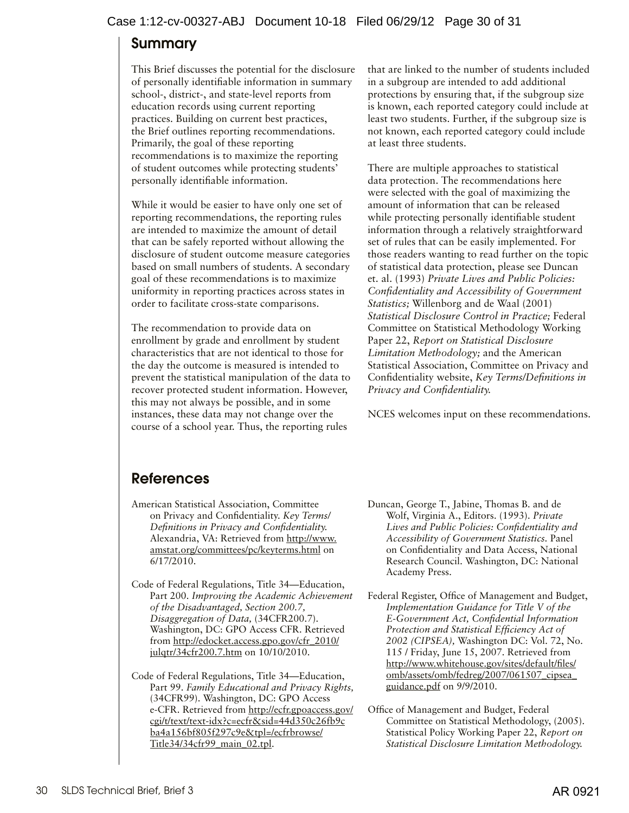#### <span id="page-29-0"></span>Case 1:12-cv-00327-ABJ Document 10-18 Filed 06/29/12 Page 30 of 31

# Summary

This Brief discusses the potential for the disclosure of personally identifiable information in summary school-, district-, and state-level reports from education records using current reporting practices. Building on current best practices, the Brief outlines reporting recommendations. Primarily, the goal of these reporting recommendations is to maximize the reporting of student outcomes while protecting students' personally identifiable information.

While it would be easier to have only one set of reporting recommendations, the reporting rules are intended to maximize the amount of detail that can be safely reported without allowing the disclosure of student outcome measure categories based on small numbers of students. A secondary goal of these recommendations is to maximize uniformity in reporting practices across states in order to facilitate cross-state comparisons.

The recommendation to provide data on enrollment by grade and enrollment by student characteristics that are not identical to those for the day the outcome is measured is intended to prevent the statistical manipulation of the data to recover protected student information. However, this may not always be possible, and in some instances, these data may not change over the course of a school year. Thus, the reporting rules

that are linked to the number of students included in a subgroup are intended to add additional protections by ensuring that, if the subgroup size is known, each reported category could include at least two students. Further, if the subgroup size is not known, each reported category could include at least three students.

There are multiple approaches to statistical data protection. The recommendations here were selected with the goal of maximizing the amount of information that can be released while protecting personally identifiable student information through a relatively straightforward set of rules that can be easily implemented. For those readers wanting to read further on the topic of statistical data protection, please see Duncan et. al. (1993) *Private Lives and Public Policies: Confidentiality and Accessibility of Government Statistics;* Willenborg and de Waal (2001) *Statistical Disclosure Control in Practice;* Federal Committee on Statistical Methodology Working Paper 22, *Report on Statistical Disclosure Limitation Methodology;* and the American Statistical Association, Committee on Privacy and Confidentiality website, *Key Terms/Definitions in Privacy and Confidentiality.*

NCES welcomes input on these recommendations.

# References

- American Statistical Association, Committee on Privacy and Confidentiality. *Key Terms/ Definitions in Privacy and Confidentiality.*  Alexandria, VA: Retrieved from [http://www.](http://www.amstat.org/committees/pc/keyterms.html) [amstat.org/committees/pc/keyterms.html](http://www.amstat.org/committees/pc/keyterms.html) on 6/17/2010.
- Code of Federal Regulations, Title 34—Education, Part 200. *Improving the Academic Achievement of the Disadvantaged, Section 200.7, Disaggregation of Data,* (34CFR200.7). Washington, DC: GPO Access CFR. Retrieved from [http://edocket.access.gpo.gov/cfr\\_2010/](http://edocket.access.gpo.gov/cfr_2010/julqtr/34cfr200.7.htm) [julqtr/34cfr200.7.htm](http://edocket.access.gpo.gov/cfr_2010/julqtr/34cfr200.7.htm) on 10/10/2010.
- Code of Federal Regulations, Title 34—Education, Part 99. *Family Educational and Privacy Rights,*  (34CFR99). Washington, DC: GPO Access e-CFR. Retrieved from [http://ecfr.gpoaccess.gov/](http://ecfr.gpoaccess.gov/cgi/t/text/text-idx?c=ecfr&sid=44d350c26fb9c ba4a156bf805f297c9e&tpl=/ecfrbrowse/Title34/34cfr99_main_02.tpl) [cgi/t/text/text-idx?c=ecfr&sid=44d350c26fb9c](http://ecfr.gpoaccess.gov/cgi/t/text/text-idx?c=ecfr&sid=44d350c26fb9c ba4a156bf805f297c9e&tpl=/ecfrbrowse/Title34/34cfr99_main_02.tpl) [ba4a156bf805f297c9e&tpl=/ecfrbrowse/](http://ecfr.gpoaccess.gov/cgi/t/text/text-idx?c=ecfr&sid=44d350c26fb9c ba4a156bf805f297c9e&tpl=/ecfrbrowse/Title34/34cfr99_main_02.tpl) [Title34/34cfr99\\_main\\_02.tpl](http://ecfr.gpoaccess.gov/cgi/t/text/text-idx?c=ecfr&sid=44d350c26fb9c ba4a156bf805f297c9e&tpl=/ecfrbrowse/Title34/34cfr99_main_02.tpl).
- Duncan, George T., Jabine, Thomas B. and de Wolf, Virginia A., Editors. (1993). *Private Lives and Public Policies: Confidentiality and Accessibility of Government Statistics.* Panel on Confidentiality and Data Access, National Research Council. Washington, DC: National Academy Press.
- Federal Register, Office of Management and Budget, *Implementation Guidance for Title V of the E-Government Act, Confidential Information Protection and Statistical Efficiency Act of 2002 (CIPSEA),* Washington DC: Vol. 72, No. 115 / Friday, June 15, 2007. Retrieved from [http://www.whitehouse.gov/sites/default/files/](http://www.whitehouse.gov/sites/default/files/omb/assets/omb/fedreg/2007/061507_cipsea_guidance.pdf) [omb/assets/omb/fedreg/2007/061507\\_cipsea\\_](http://www.whitehouse.gov/sites/default/files/omb/assets/omb/fedreg/2007/061507_cipsea_guidance.pdf) [guidance.pdf](http://www.whitehouse.gov/sites/default/files/omb/assets/omb/fedreg/2007/061507_cipsea_guidance.pdf) on 9/9/2010.
- Office of Management and Budget, Federal Committee on Statistical Methodology, (2005). Statistical Policy Working Paper 22, *Report on Statistical Disclosure Limitation Methodology.*